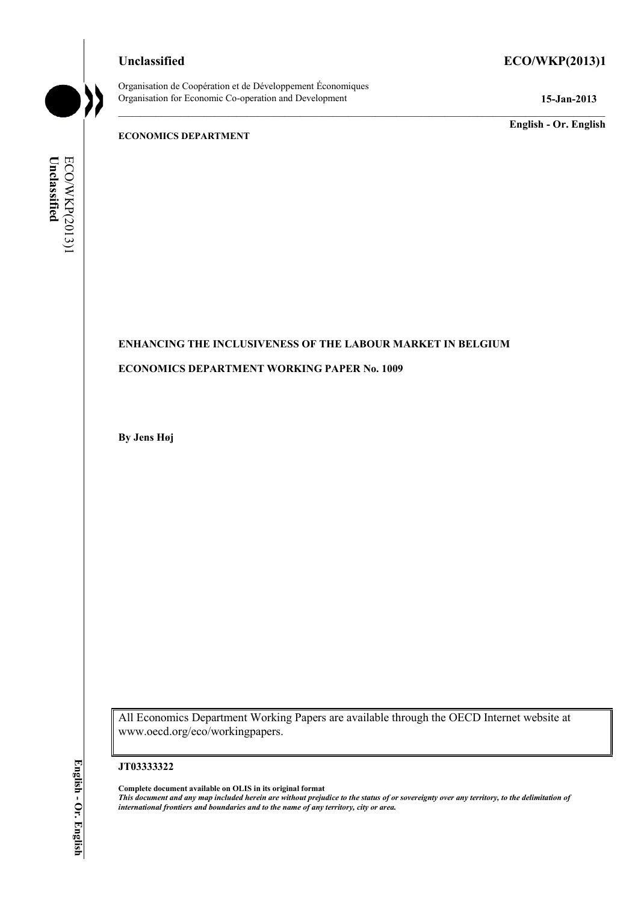Organisation de Coopération et de Développement Économiques Organisation for Economic Co-operation and Development **15-Jan-2013** 

# **Unclassified ECO/WKP(2013)1**

**English - Or. English** 

### **ECONOMICS DEPARTMENT**

Unclassified ECO/WKP(2013)1 **Unclassified**  ECO/WKP(2013)1

## **ENHANCING THE INCLUSIVENESS OF THE LABOUR MARKET IN BELGIUM**

### **ECONOMICS DEPARTMENT WORKING PAPER No. 1009**

**By Jens Høj** 

All Economics Department Working Papers are available through the OECD Internet website at www.oecd.org/eco/workingpapers.

### **JT03333322**

**Complete document available on OLIS in its original format**

*This document and any map included herein are without prejudice to the status of or sovereignty over any territory, to the delimitation of international frontiers and boundaries and to the name of any territory, city or area.*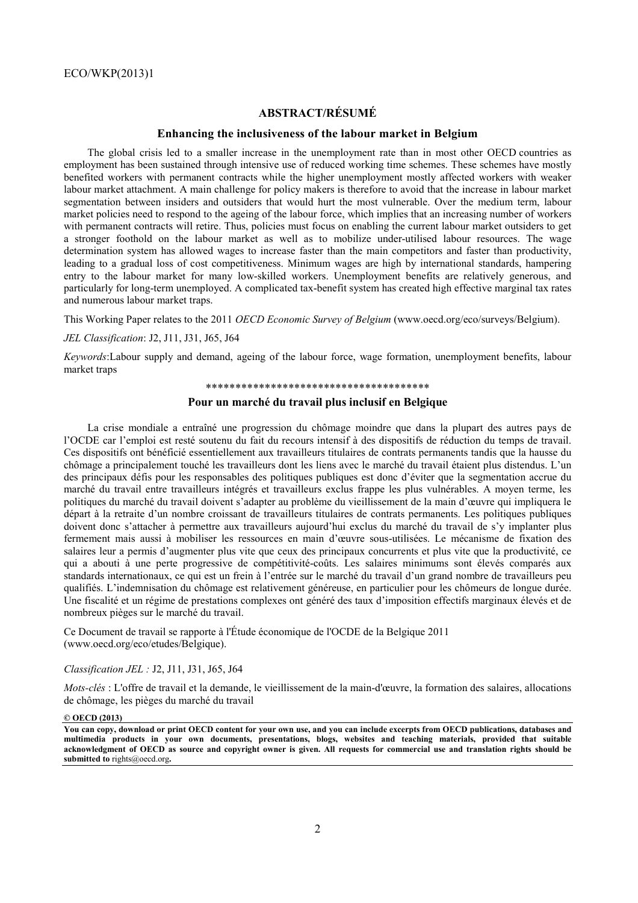# **ABSTRACT/RÉSUMÉ**

#### **Enhancing the inclusiveness of the labour market in Belgium**

The global crisis led to a smaller increase in the unemployment rate than in most other OECD countries as employment has been sustained through intensive use of reduced working time schemes. These schemes have mostly benefited workers with permanent contracts while the higher unemployment mostly affected workers with weaker labour market attachment. A main challenge for policy makers is therefore to avoid that the increase in labour market segmentation between insiders and outsiders that would hurt the most vulnerable. Over the medium term, labour market policies need to respond to the ageing of the labour force, which implies that an increasing number of workers with permanent contracts will retire. Thus, policies must focus on enabling the current labour market outsiders to get a stronger foothold on the labour market as well as to mobilize under-utilised labour resources. The wage determination system has allowed wages to increase faster than the main competitors and faster than productivity, leading to a gradual loss of cost competitiveness. Minimum wages are high by international standards, hampering entry to the labour market for many low-skilled workers. Unemployment benefits are relatively generous, and particularly for long-term unemployed. A complicated tax-benefit system has created high effective marginal tax rates and numerous labour market traps.

This Working Paper relates to the 2011 *OECD Economic Survey of Belgium* (www.oecd.org/eco/surveys/Belgium).

### *JEL Classification*: J2, J11, J31, J65, J64

*Keywords*:Labour supply and demand, ageing of the labour force, wage formation, unemployment benefits, labour market traps

#### \*\*\*\*\*\*\*\*\*\*\*\*\*\*\*\*\*\*\*\*\*\*\*\*\*\*\*\*\*\*\*\*\*\*\*\*\*\*

#### **Pour un marché du travail plus inclusif en Belgique**

La crise mondiale a entraîné une progression du chômage moindre que dans la plupart des autres pays de l'OCDE car l'emploi est resté soutenu du fait du recours intensif à des dispositifs de réduction du temps de travail. Ces dispositifs ont bénéficié essentiellement aux travailleurs titulaires de contrats permanents tandis que la hausse du chômage a principalement touché les travailleurs dont les liens avec le marché du travail étaient plus distendus. L'un des principaux défis pour les responsables des politiques publiques est donc d'éviter que la segmentation accrue du marché du travail entre travailleurs intégrés et travailleurs exclus frappe les plus vulnérables. A moyen terme, les politiques du marché du travail doivent s'adapter au problème du vieillissement de la main d'œuvre qui impliquera le départ à la retraite d'un nombre croissant de travailleurs titulaires de contrats permanents. Les politiques publiques doivent donc s'attacher à permettre aux travailleurs aujourd'hui exclus du marché du travail de s'y implanter plus fermement mais aussi à mobiliser les ressources en main d'œuvre sous-utilisées. Le mécanisme de fixation des salaires leur a permis d'augmenter plus vite que ceux des principaux concurrents et plus vite que la productivité, ce qui a abouti à une perte progressive de compétitivité-coûts. Les salaires minimums sont élevés comparés aux standards internationaux, ce qui est un frein à l'entrée sur le marché du travail d'un grand nombre de travailleurs peu qualifiés. L'indemnisation du chômage est relativement généreuse, en particulier pour les chômeurs de longue durée. Une fiscalité et un régime de prestations complexes ont généré des taux d'imposition effectifs marginaux élevés et de nombreux pièges sur le marché du travail.

Ce Document de travail se rapporte à l'Étude économique de l'OCDE de la Belgique 2011 (www.oecd.org/eco/etudes/Belgique).

#### *Classification JEL :* J2, J11, J31, J65, J64

*Mots-clés* : L'offre de travail et la demande, le vieillissement de la main-d'œuvre, la formation des salaires, allocations de chômage, les pièges du marché du travail

#### **© OECD (2013)**

**You can copy, download or print OECD content for your own use, and you can include excerpts from OECD publications, databases and multimedia products in your own documents, presentations, blogs, websites and teaching materials, provided that suitable acknowledgment of OECD as source and copyright owner is given. All requests for commercial use and translation rights should be submitted to** rights@oecd.org**.**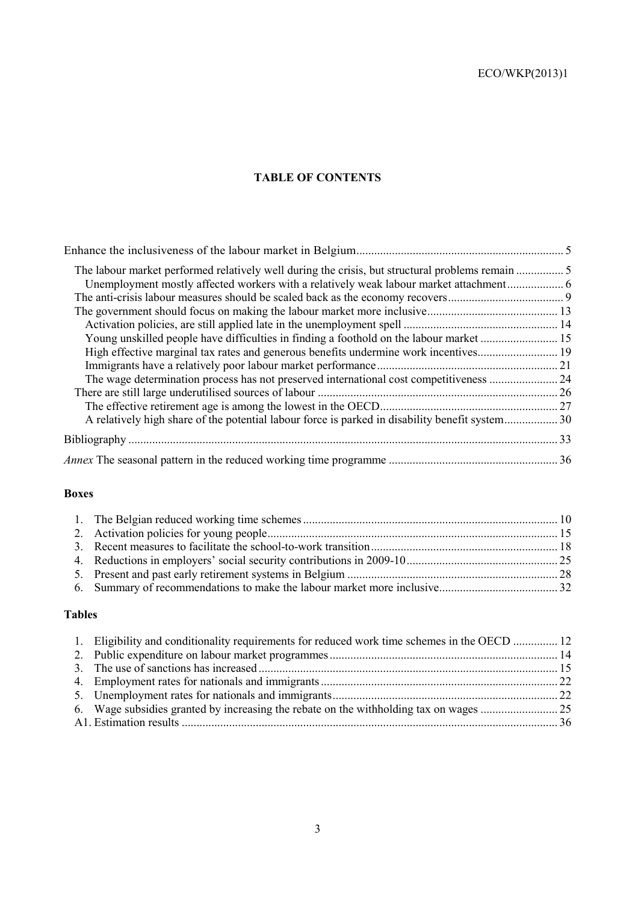# **TABLE OF CONTENTS**

| The labour market performed relatively well during the crisis, but structural problems remain |     |
|-----------------------------------------------------------------------------------------------|-----|
| Unemployment mostly affected workers with a relatively weak labour market attachment          |     |
|                                                                                               |     |
|                                                                                               |     |
|                                                                                               |     |
|                                                                                               |     |
|                                                                                               |     |
|                                                                                               |     |
| The wage determination process has not preserved international cost competitiveness  24       |     |
|                                                                                               |     |
|                                                                                               |     |
|                                                                                               |     |
|                                                                                               | .33 |
|                                                                                               |     |
|                                                                                               |     |

# **Boxes**

# **Tables**

| 1. Eligibility and conditionality requirements for reduced work time schemes in the OECD  12 |  |
|----------------------------------------------------------------------------------------------|--|
|                                                                                              |  |
|                                                                                              |  |
|                                                                                              |  |
|                                                                                              |  |
|                                                                                              |  |
|                                                                                              |  |
|                                                                                              |  |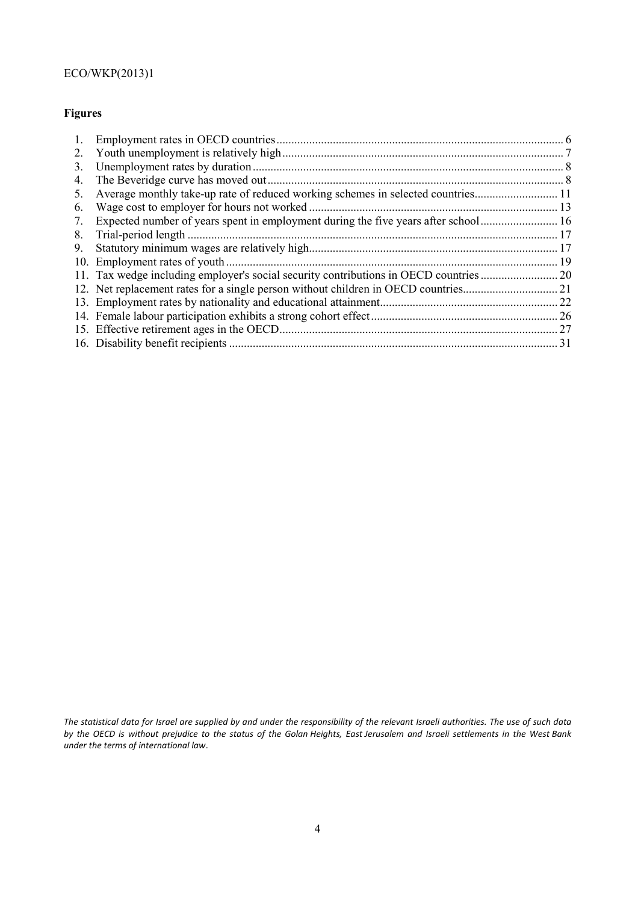# **Figures**

| 1. |                                                                                  |     |
|----|----------------------------------------------------------------------------------|-----|
| 2. |                                                                                  |     |
| 3. |                                                                                  |     |
| 4. |                                                                                  |     |
| 5. | Average monthly take-up rate of reduced working schemes in selected countries 11 |     |
| 6. |                                                                                  |     |
| 7. |                                                                                  |     |
| 8. |                                                                                  |     |
| 9. |                                                                                  |     |
|    |                                                                                  |     |
|    |                                                                                  |     |
|    |                                                                                  |     |
|    |                                                                                  | .22 |
|    |                                                                                  |     |
|    |                                                                                  | .27 |
|    |                                                                                  | 31  |

*The statistical data for Israel are supplied by and under the responsibility of the relevant Israeli authorities. The use of such data by the OECD is without prejudice to the status of the Golan Heights, East Jerusalem and Israeli settlements in the West Bank under the terms of international law*.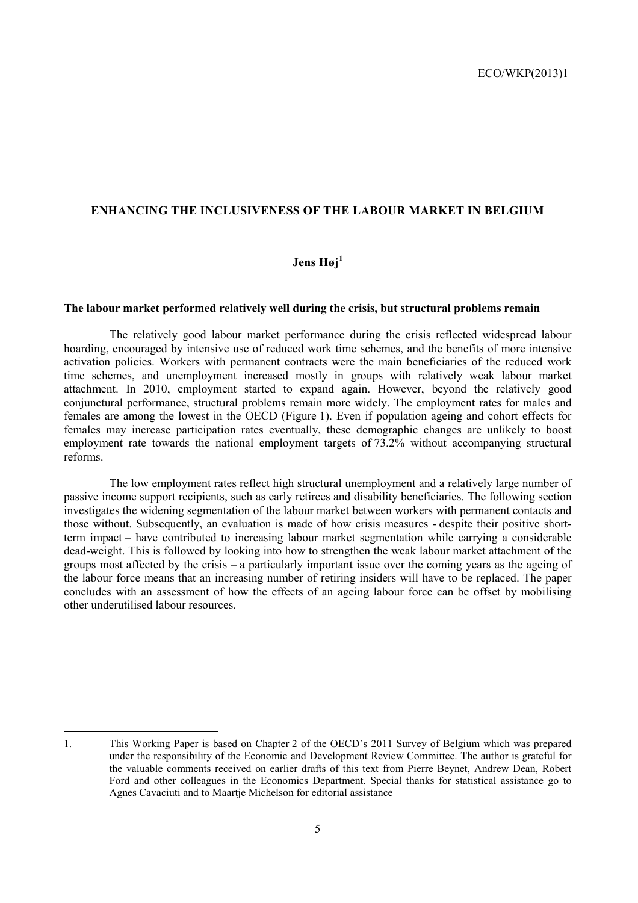### **ENHANCING THE INCLUSIVENESS OF THE LABOUR MARKET IN BELGIUM**

# **Jens Høj<sup>1</sup>**

### **The labour market performed relatively well during the crisis, but structural problems remain**

 The relatively good labour market performance during the crisis reflected widespread labour hoarding, encouraged by intensive use of reduced work time schemes, and the benefits of more intensive activation policies. Workers with permanent contracts were the main beneficiaries of the reduced work time schemes, and unemployment increased mostly in groups with relatively weak labour market attachment. In 2010, employment started to expand again. However, beyond the relatively good conjunctural performance, structural problems remain more widely. The employment rates for males and females are among the lowest in the OECD (Figure 1). Even if population ageing and cohort effects for females may increase participation rates eventually, these demographic changes are unlikely to boost employment rate towards the national employment targets of 73.2% without accompanying structural reforms.

 The low employment rates reflect high structural unemployment and a relatively large number of passive income support recipients, such as early retirees and disability beneficiaries. The following section investigates the widening segmentation of the labour market between workers with permanent contacts and those without. Subsequently, an evaluation is made of how crisis measures - despite their positive shortterm impact – have contributed to increasing labour market segmentation while carrying a considerable dead-weight. This is followed by looking into how to strengthen the weak labour market attachment of the groups most affected by the crisis – a particularly important issue over the coming years as the ageing of the labour force means that an increasing number of retiring insiders will have to be replaced. The paper concludes with an assessment of how the effects of an ageing labour force can be offset by mobilising other underutilised labour resources.

<sup>1.</sup> This Working Paper is based on Chapter 2 of the OECD's 2011 Survey of Belgium which was prepared under the responsibility of the Economic and Development Review Committee. The author is grateful for the valuable comments received on earlier drafts of this text from Pierre Beynet, Andrew Dean, Robert Ford and other colleagues in the Economics Department. Special thanks for statistical assistance go to Agnes Cavaciuti and to Maartje Michelson for editorial assistance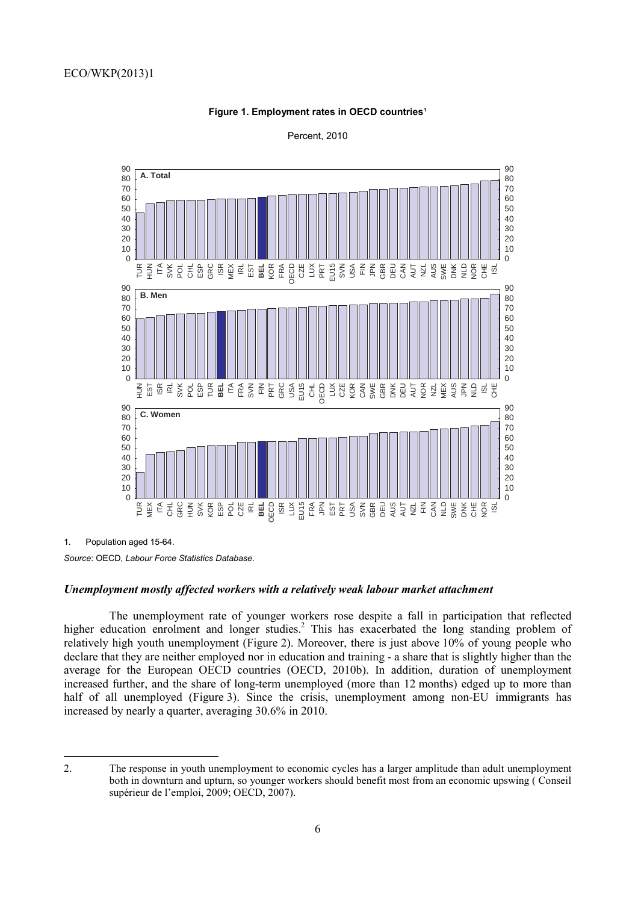

### **Figure 1. Employment rates in OECD countries<sup>1</sup>**

Percent, 2010

1. Population aged 15-64.

*Source*: OECD, *Labour Force Statistics Database*.

### *Unemployment mostly affected workers with a relatively weak labour market attachment*

 The unemployment rate of younger workers rose despite a fall in participation that reflected higher education enrolment and longer studies.<sup>2</sup> This has exacerbated the long standing problem of relatively high youth unemployment (Figure 2). Moreover, there is just above 10% of young people who declare that they are neither employed nor in education and training - a share that is slightly higher than the average for the European OECD countries (OECD, 2010b). In addition, duration of unemployment increased further, and the share of long-term unemployed (more than 12 months) edged up to more than half of all unemployed (Figure 3). Since the crisis, unemployment among non-EU immigrants has increased by nearly a quarter, averaging 30.6% in 2010.

 $\overline{a}$ 

<sup>2.</sup> The response in youth unemployment to economic cycles has a larger amplitude than adult unemployment both in downturn and upturn, so younger workers should benefit most from an economic upswing ( Conseil supérieur de l'emploi, 2009; OECD, 2007).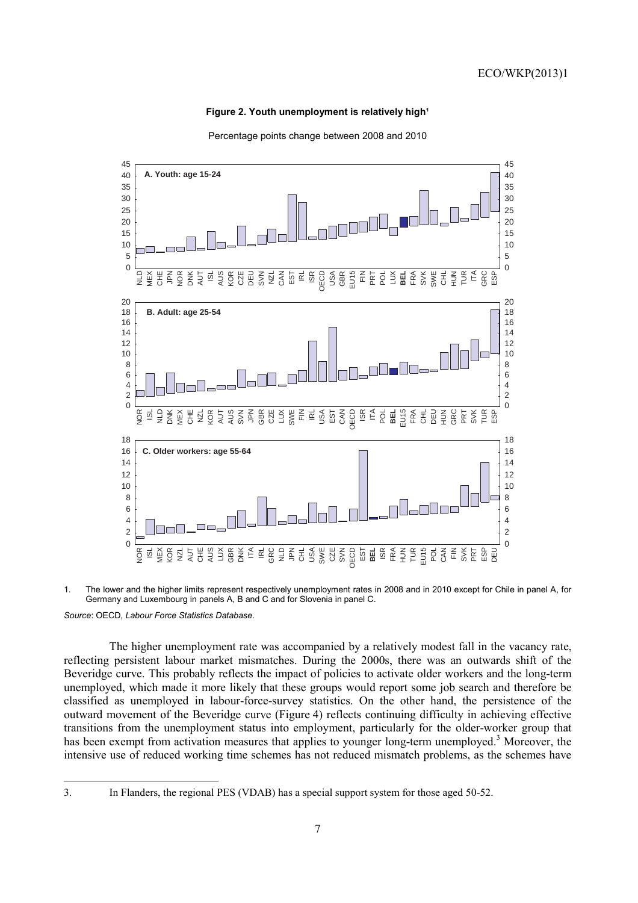

Percentage points change between 2008 and 2010



1. The lower and the higher limits represent respectively unemployment rates in 2008 and in 2010 except for Chile in panel A, for Germany and Luxembourg in panels A, B and C and for Slovenia in panel C.

*Source*: OECD, *Labour Force Statistics Database*.

 The higher unemployment rate was accompanied by a relatively modest fall in the vacancy rate, reflecting persistent labour market mismatches. During the 2000s, there was an outwards shift of the Beveridge curve. This probably reflects the impact of policies to activate older workers and the long-term unemployed, which made it more likely that these groups would report some job search and therefore be classified as unemployed in labour-force-survey statistics. On the other hand, the persistence of the outward movement of the Beveridge curve (Figure 4) reflects continuing difficulty in achieving effective transitions from the unemployment status into employment, particularly for the older-worker group that has been exempt from activation measures that applies to younger long-term unemployed.<sup>3</sup> Moreover, the intensive use of reduced working time schemes has not reduced mismatch problems, as the schemes have

<sup>3.</sup> In Flanders, the regional PES (VDAB) has a special support system for those aged 50-52.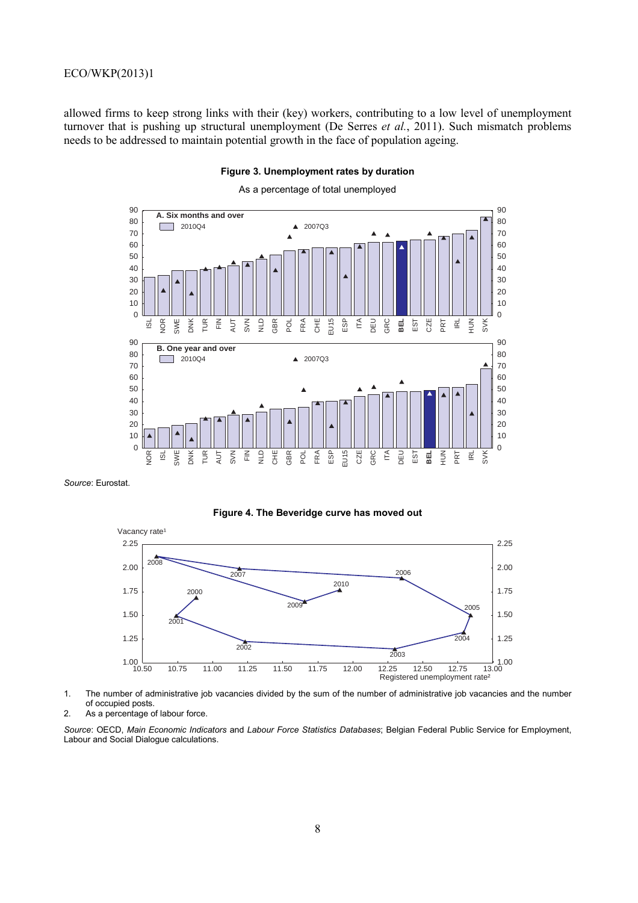allowed firms to keep strong links with their (key) workers, contributing to a low level of unemployment turnover that is pushing up structural unemployment (De Serres *et al.*, 2011). Such mismatch problems needs to be addressed to maintain potential growth in the face of population ageing.

#### **Figure 3. Unemployment rates by duration**

As a percentage of total unemployed



*Source*: Eurostat.





1. The number of administrative job vacancies divided by the sum of the number of administrative job vacancies and the number of occupied posts.

2. As a percentage of labour force.

*Source*: OECD, *Main Economic Indicators* and *Labour Force Statistics Databases*; Belgian Federal Public Service for Employment, Labour and Social Dialogue calculations.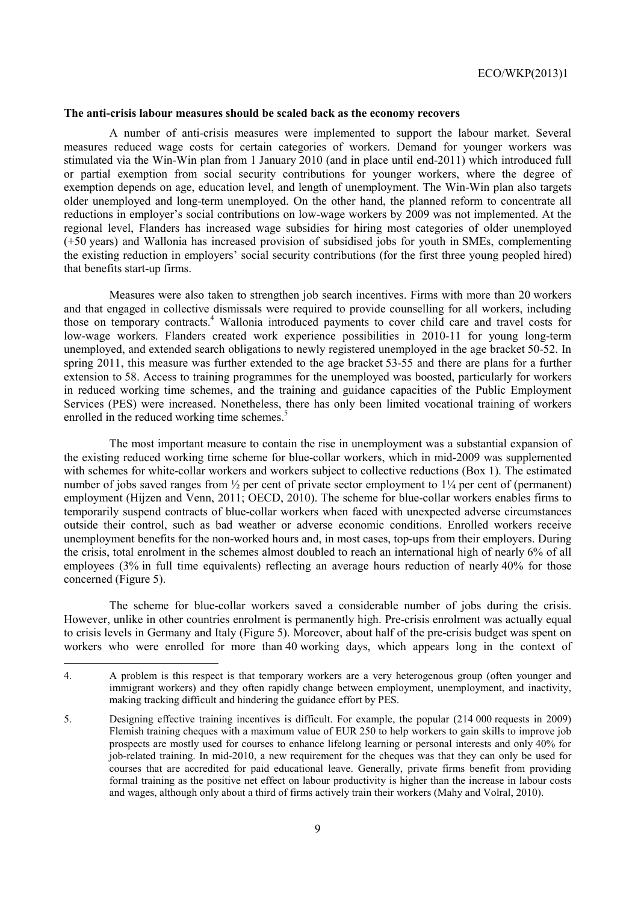#### **The anti-crisis labour measures should be scaled back as the economy recovers**

 A number of anti-crisis measures were implemented to support the labour market. Several measures reduced wage costs for certain categories of workers. Demand for younger workers was stimulated via the Win-Win plan from 1 January 2010 (and in place until end-2011) which introduced full or partial exemption from social security contributions for younger workers, where the degree of exemption depends on age, education level, and length of unemployment. The Win-Win plan also targets older unemployed and long-term unemployed. On the other hand, the planned reform to concentrate all reductions in employer's social contributions on low-wage workers by 2009 was not implemented. At the regional level, Flanders has increased wage subsidies for hiring most categories of older unemployed (+50 years) and Wallonia has increased provision of subsidised jobs for youth in SMEs, complementing the existing reduction in employers' social security contributions (for the first three young peopled hired) that benefits start-up firms.

 Measures were also taken to strengthen job search incentives. Firms with more than 20 workers and that engaged in collective dismissals were required to provide counselling for all workers, including those on temporary contracts.<sup>4</sup> Wallonia introduced payments to cover child care and travel costs for low-wage workers. Flanders created work experience possibilities in 2010-11 for young long-term unemployed, and extended search obligations to newly registered unemployed in the age bracket 50-52. In spring 2011, this measure was further extended to the age bracket 53-55 and there are plans for a further extension to 58. Access to training programmes for the unemployed was boosted, particularly for workers in reduced working time schemes, and the training and guidance capacities of the Public Employment Services (PES) were increased. Nonetheless, there has only been limited vocational training of workers enrolled in the reduced working time schemes.<sup>5</sup>

 The most important measure to contain the rise in unemployment was a substantial expansion of the existing reduced working time scheme for blue-collar workers, which in mid-2009 was supplemented with schemes for white-collar workers and workers subject to collective reductions (Box 1). The estimated number of jobs saved ranges from  $\frac{1}{2}$  per cent of private sector employment to  $1/4$  per cent of (permanent) employment (Hijzen and Venn, 2011; OECD, 2010). The scheme for blue-collar workers enables firms to temporarily suspend contracts of blue-collar workers when faced with unexpected adverse circumstances outside their control, such as bad weather or adverse economic conditions. Enrolled workers receive unemployment benefits for the non-worked hours and, in most cases, top-ups from their employers. During the crisis, total enrolment in the schemes almost doubled to reach an international high of nearly 6% of all employees (3% in full time equivalents) reflecting an average hours reduction of nearly 40% for those concerned (Figure 5).

 The scheme for blue-collar workers saved a considerable number of jobs during the crisis. However, unlike in other countries enrolment is permanently high. Pre-crisis enrolment was actually equal to crisis levels in Germany and Italy (Figure 5). Moreover, about half of the pre-crisis budget was spent on workers who were enrolled for more than 40 working days, which appears long in the context of

 $\overline{a}$ 

<sup>4.</sup> A problem is this respect is that temporary workers are a very heterogenous group (often younger and immigrant workers) and they often rapidly change between employment, unemployment, and inactivity, making tracking difficult and hindering the guidance effort by PES.

<sup>5.</sup> Designing effective training incentives is difficult. For example, the popular (214 000 requests in 2009) Flemish training cheques with a maximum value of EUR 250 to help workers to gain skills to improve job prospects are mostly used for courses to enhance lifelong learning or personal interests and only 40% for job-related training. In mid-2010, a new requirement for the cheques was that they can only be used for courses that are accredited for paid educational leave. Generally, private firms benefit from providing formal training as the positive net effect on labour productivity is higher than the increase in labour costs and wages, although only about a third of firms actively train their workers (Mahy and Volral, 2010).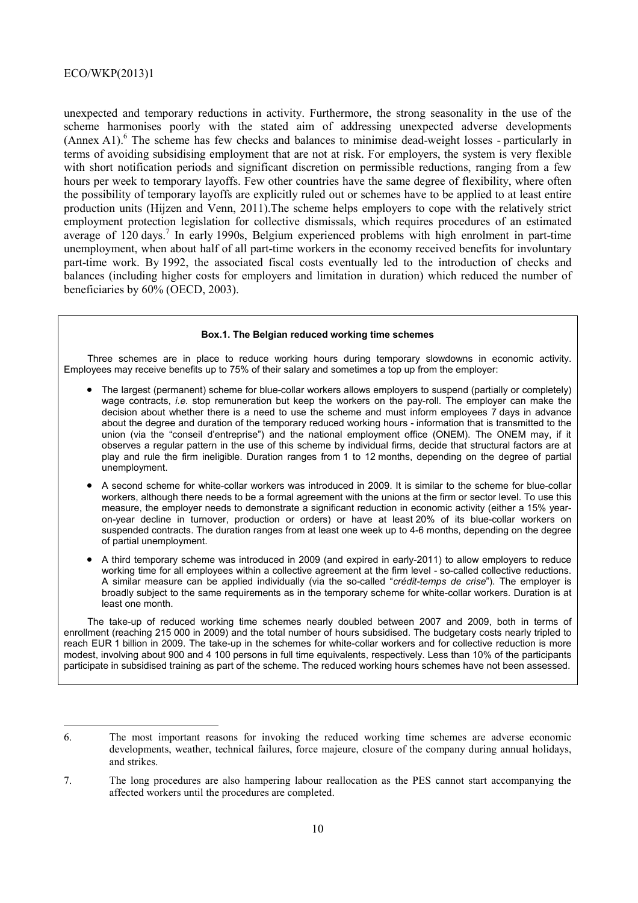unexpected and temporary reductions in activity. Furthermore, the strong seasonality in the use of the scheme harmonises poorly with the stated aim of addressing unexpected adverse developments (Annex A1).<sup>6</sup> The scheme has few checks and balances to minimise dead-weight losses - particularly in terms of avoiding subsidising employment that are not at risk. For employers, the system is very flexible with short notification periods and significant discretion on permissible reductions, ranging from a few hours per week to temporary layoffs. Few other countries have the same degree of flexibility, where often the possibility of temporary layoffs are explicitly ruled out or schemes have to be applied to at least entire production units (Hijzen and Venn, 2011).The scheme helps employers to cope with the relatively strict employment protection legislation for collective dismissals, which requires procedures of an estimated average of  $120 \text{ days}$ .<sup>7</sup> In early 1990s, Belgium experienced problems with high enrolment in part-time unemployment, when about half of all part-time workers in the economy received benefits for involuntary part-time work. By 1992, the associated fiscal costs eventually led to the introduction of checks and balances (including higher costs for employers and limitation in duration) which reduced the number of beneficiaries by 60% (OECD, 2003).

#### **Box.1. The Belgian reduced working time schemes**

Three schemes are in place to reduce working hours during temporary slowdowns in economic activity. Employees may receive benefits up to 75% of their salary and sometimes a top up from the employer:

- The largest (permanent) scheme for blue-collar workers allows employers to suspend (partially or completely) wage contracts, *i.e.* stop remuneration but keep the workers on the pay-roll. The employer can make the decision about whether there is a need to use the scheme and must inform employees 7 days in advance about the degree and duration of the temporary reduced working hours - information that is transmitted to the union (via the "conseil d'entreprise") and the national employment office (ONEM). The ONEM may, if it observes a regular pattern in the use of this scheme by individual firms, decide that structural factors are at play and rule the firm ineligible. Duration ranges from 1 to 12 months, depending on the degree of partial unemployment.
- A second scheme for white-collar workers was introduced in 2009. It is similar to the scheme for blue-collar workers, although there needs to be a formal agreement with the unions at the firm or sector level. To use this measure, the employer needs to demonstrate a significant reduction in economic activity (either a 15% yearon-year decline in turnover, production or orders) or have at least 20% of its blue-collar workers on suspended contracts. The duration ranges from at least one week up to 4-6 months, depending on the degree of partial unemployment.
- A third temporary scheme was introduced in 2009 (and expired in early-2011) to allow employers to reduce working time for all employees within a collective agreement at the firm level - so-called collective reductions. A similar measure can be applied individually (via the so-called "*crédit-temps de crise*"). The employer is broadly subject to the same requirements as in the temporary scheme for white-collar workers. Duration is at least one month.

The take-up of reduced working time schemes nearly doubled between 2007 and 2009, both in terms of enrollment (reaching 215 000 in 2009) and the total number of hours subsidised. The budgetary costs nearly tripled to reach EUR 1 billion in 2009. The take-up in the schemes for white-collar workers and for collective reduction is more modest, involving about 900 and 4 100 persons in full time equivalents, respectively. Less than 10% of the participants participate in subsidised training as part of the scheme. The reduced working hours schemes have not been assessed.

<sup>6.</sup> The most important reasons for invoking the reduced working time schemes are adverse economic developments, weather, technical failures, force majeure, closure of the company during annual holidays, and strikes.

<sup>7.</sup> The long procedures are also hampering labour reallocation as the PES cannot start accompanying the affected workers until the procedures are completed.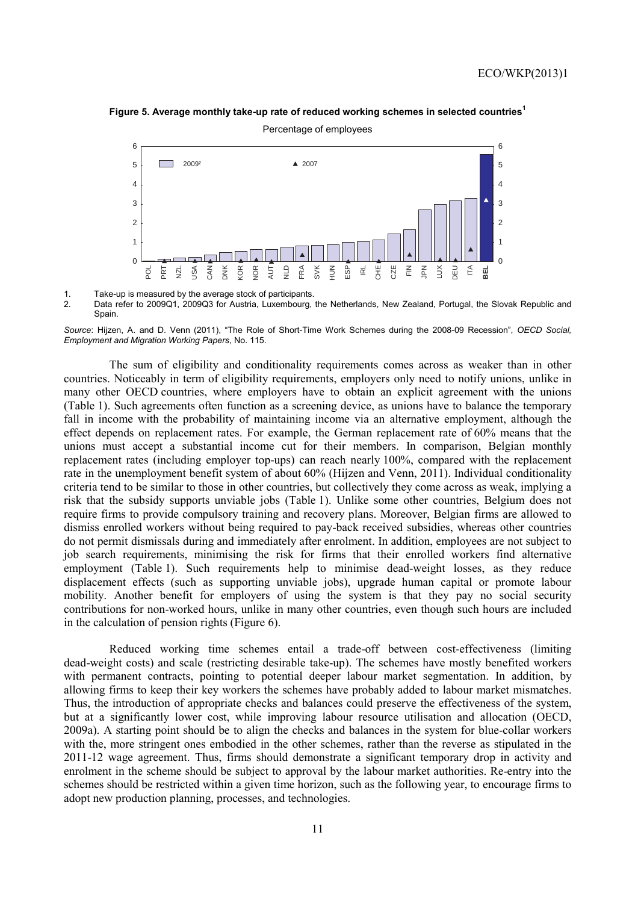



1. Take-up is measured by the average stock of participants.

2. Data refer to 2009Q1, 2009Q3 for Austria, Luxembourg, the Netherlands, New Zealand, Portugal, the Slovak Republic and Spain

*Source*: Hijzen, A. and D. Venn (2011), "The Role of Short-Time Work Schemes during the 2008-09 Recession", *OECD Social, Employment and Migration Working Papers*, No. 115.

 The sum of eligibility and conditionality requirements comes across as weaker than in other countries. Noticeably in term of eligibility requirements, employers only need to notify unions, unlike in many other OECD countries, where employers have to obtain an explicit agreement with the unions (Table 1). Such agreements often function as a screening device, as unions have to balance the temporary fall in income with the probability of maintaining income via an alternative employment, although the effect depends on replacement rates. For example, the German replacement rate of 60% means that the unions must accept a substantial income cut for their members. In comparison, Belgian monthly replacement rates (including employer top-ups) can reach nearly 100%, compared with the replacement rate in the unemployment benefit system of about 60% (Hijzen and Venn, 2011). Individual conditionality criteria tend to be similar to those in other countries, but collectively they come across as weak, implying a risk that the subsidy supports unviable jobs (Table 1). Unlike some other countries, Belgium does not require firms to provide compulsory training and recovery plans. Moreover, Belgian firms are allowed to dismiss enrolled workers without being required to pay-back received subsidies, whereas other countries do not permit dismissals during and immediately after enrolment. In addition, employees are not subject to job search requirements, minimising the risk for firms that their enrolled workers find alternative employment (Table 1). Such requirements help to minimise dead-weight losses, as they reduce displacement effects (such as supporting unviable jobs), upgrade human capital or promote labour mobility. Another benefit for employers of using the system is that they pay no social security contributions for non-worked hours, unlike in many other countries, even though such hours are included in the calculation of pension rights (Figure 6).

 Reduced working time schemes entail a trade-off between cost-effectiveness (limiting dead-weight costs) and scale (restricting desirable take-up). The schemes have mostly benefited workers with permanent contracts, pointing to potential deeper labour market segmentation. In addition, by allowing firms to keep their key workers the schemes have probably added to labour market mismatches. Thus, the introduction of appropriate checks and balances could preserve the effectiveness of the system, but at a significantly lower cost, while improving labour resource utilisation and allocation (OECD, 2009a). A starting point should be to align the checks and balances in the system for blue-collar workers with the, more stringent ones embodied in the other schemes, rather than the reverse as stipulated in the 2011-12 wage agreement. Thus, firms should demonstrate a significant temporary drop in activity and enrolment in the scheme should be subject to approval by the labour market authorities. Re-entry into the schemes should be restricted within a given time horizon, such as the following year, to encourage firms to adopt new production planning, processes, and technologies.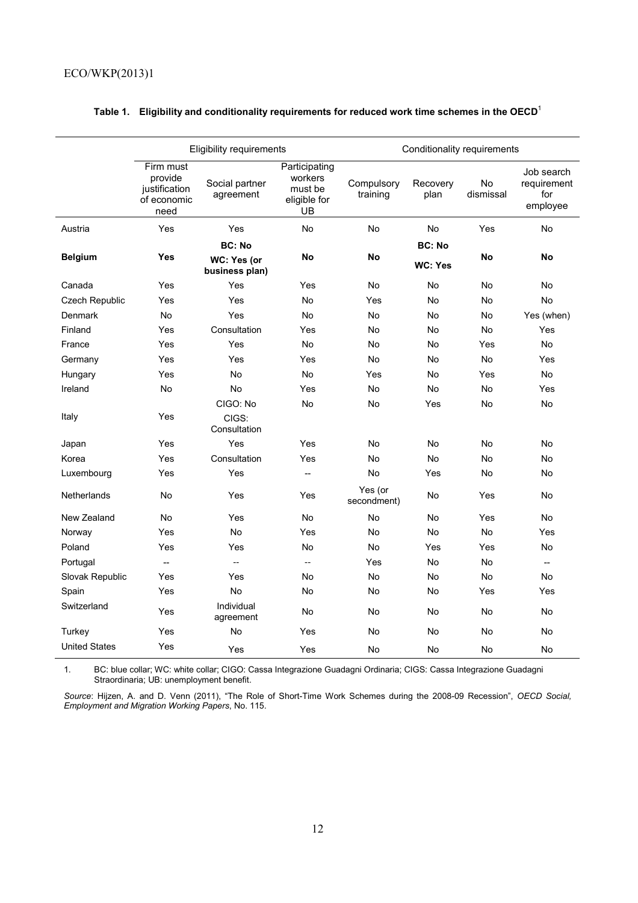|                      | Eligibility requirements                                     |                               |                                                           | Conditionality requirements |                  |                 |                                              |
|----------------------|--------------------------------------------------------------|-------------------------------|-----------------------------------------------------------|-----------------------------|------------------|-----------------|----------------------------------------------|
|                      | Firm must<br>provide<br>justification<br>of economic<br>need | Social partner<br>agreement   | Participating<br>workers<br>must be<br>eligible for<br>UB | Compulsory<br>training      | Recovery<br>plan | No<br>dismissal | Job search<br>requirement<br>for<br>employee |
| Austria              | Yes                                                          | Yes                           | <b>No</b>                                                 | <b>No</b>                   | <b>No</b>        | Yes             | <b>No</b>                                    |
|                      |                                                              | <b>BC: No</b>                 |                                                           |                             | <b>BC: No</b>    |                 |                                              |
| <b>Belgium</b>       | Yes                                                          | WC: Yes (or<br>business plan) | <b>No</b>                                                 | No                          | <b>WC: Yes</b>   | No              | <b>No</b>                                    |
| Canada               | Yes                                                          | Yes                           | Yes                                                       | No                          | <b>No</b>        | No              | No                                           |
| Czech Republic       | Yes                                                          | Yes                           | <b>No</b>                                                 | Yes                         | <b>No</b>        | <b>No</b>       | <b>No</b>                                    |
| Denmark              | No                                                           | Yes                           | <b>No</b>                                                 | No                          | No               | <b>No</b>       | Yes (when)                                   |
| Finland              | Yes                                                          | Consultation                  | Yes                                                       | No                          | No               | No              | Yes                                          |
| France               | Yes                                                          | Yes                           | No                                                        | No                          | No               | Yes             | No                                           |
| Germany              | Yes                                                          | Yes                           | Yes                                                       | <b>No</b>                   | No               | <b>No</b>       | Yes                                          |
| Hungary              | Yes                                                          | <b>No</b>                     | <b>No</b>                                                 | Yes                         | No               | Yes             | No                                           |
| Ireland              | No                                                           | <b>No</b>                     | Yes                                                       | <b>No</b>                   | No               | <b>No</b>       | Yes                                          |
|                      |                                                              | CIGO: No                      | No                                                        | No                          | Yes              | No              | No                                           |
| Italy                | Yes                                                          | CIGS:<br>Consultation         |                                                           |                             |                  |                 |                                              |
| Japan                | Yes                                                          | Yes                           | Yes                                                       | No                          | No               | <b>No</b>       | No                                           |
| Korea                | Yes                                                          | Consultation                  | Yes                                                       | No                          | <b>No</b>        | No              | <b>No</b>                                    |
| Luxembourg           | Yes                                                          | Yes                           | $\overline{\phantom{a}}$                                  | <b>No</b>                   | Yes              | <b>No</b>       | No                                           |
| <b>Netherlands</b>   | <b>No</b>                                                    | Yes                           | Yes                                                       | Yes (or<br>secondment)      | No               | Yes             | <b>No</b>                                    |
| New Zealand          | <b>No</b>                                                    | Yes                           | <b>No</b>                                                 | No                          | No               | Yes             | <b>No</b>                                    |
| Norway               | Yes                                                          | No                            | Yes                                                       | <b>No</b>                   | No               | <b>No</b>       | Yes                                          |
| Poland               | Yes                                                          | Yes                           | No                                                        | <b>No</b>                   | Yes              | Yes             | No                                           |
| Portugal             | $\overline{\phantom{a}}$                                     | $\sim$                        | $-$                                                       | Yes                         | No               | No              | $-$                                          |
| Slovak Republic      | Yes                                                          | Yes                           | No                                                        | No                          | <b>No</b>        | <b>No</b>       | <b>No</b>                                    |
| Spain                | Yes                                                          | <b>No</b>                     | No                                                        | No                          | No               | Yes             | Yes                                          |
| Switzerland          | Yes                                                          | Individual<br>agreement       | <b>No</b>                                                 | No                          | <b>No</b>        | No              | <b>No</b>                                    |
| Turkey               | Yes                                                          | No                            | Yes                                                       | No                          | No               | No              | No                                           |
| <b>United States</b> | Yes                                                          | Yes                           | Yes                                                       | No                          | No               | No              | No                                           |

## **Table 1. Eligibility and conditionality requirements for reduced work time schemes in the OECD**<sup>1</sup>

1. BC: blue collar; WC: white collar; CIGO: Cassa Integrazione Guadagni Ordinaria; CIGS: Cassa Integrazione Guadagni Straordinaria; UB: unemployment benefit.

*Source*: Hijzen, A. and D. Venn (2011), "The Role of Short-Time Work Schemes during the 2008-09 Recession", *OECD Social, Employment and Migration Working Papers*, No. 115.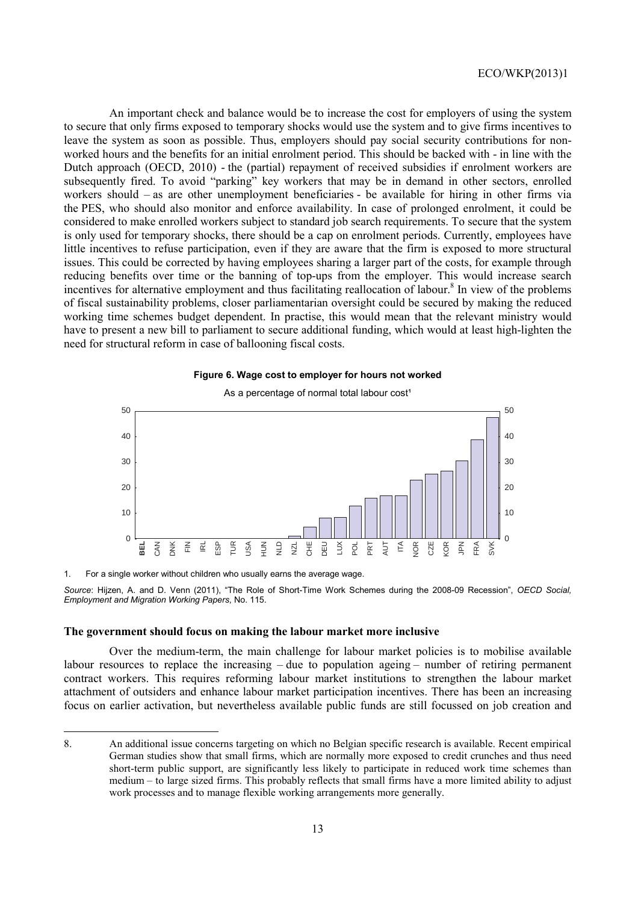An important check and balance would be to increase the cost for employers of using the system to secure that only firms exposed to temporary shocks would use the system and to give firms incentives to leave the system as soon as possible. Thus, employers should pay social security contributions for nonworked hours and the benefits for an initial enrolment period. This should be backed with - in line with the Dutch approach (OECD, 2010) - the (partial) repayment of received subsidies if enrolment workers are subsequently fired. To avoid "parking" key workers that may be in demand in other sectors, enrolled workers should – as are other unemployment beneficiaries - be available for hiring in other firms via the PES, who should also monitor and enforce availability. In case of prolonged enrolment, it could be considered to make enrolled workers subject to standard job search requirements. To secure that the system is only used for temporary shocks, there should be a cap on enrolment periods. Currently, employees have little incentives to refuse participation, even if they are aware that the firm is exposed to more structural issues. This could be corrected by having employees sharing a larger part of the costs, for example through reducing benefits over time or the banning of top-ups from the employer. This would increase search incentives for alternative employment and thus facilitating reallocation of labour.<sup>8</sup> In view of the problems of fiscal sustainability problems, closer parliamentarian oversight could be secured by making the reduced working time schemes budget dependent. In practise, this would mean that the relevant ministry would have to present a new bill to parliament to secure additional funding, which would at least high-lighten the need for structural reform in case of ballooning fiscal costs.

### **Figure 6. Wage cost to employer for hours not worked**

As a percentage of normal total labour cost<sup>1</sup>



1. For a single worker without children who usually earns the average wage.

*Source*: Hijzen, A. and D. Venn (2011), "The Role of Short-Time Work Schemes during the 2008-09 Recession", *OECD Social, Employment and Migration Working Papers*, No. 115.

#### **The government should focus on making the labour market more inclusive**

 Over the medium-term, the main challenge for labour market policies is to mobilise available labour resources to replace the increasing – due to population ageing – number of retiring permanent contract workers. This requires reforming labour market institutions to strengthen the labour market attachment of outsiders and enhance labour market participation incentives. There has been an increasing focus on earlier activation, but nevertheless available public funds are still focussed on job creation and

8. An additional issue concerns targeting on which no Belgian specific research is available. Recent empirical German studies show that small firms, which are normally more exposed to credit crunches and thus need short-term public support, are significantly less likely to participate in reduced work time schemes than medium – to large sized firms. This probably reflects that small firms have a more limited ability to adjust work processes and to manage flexible working arrangements more generally.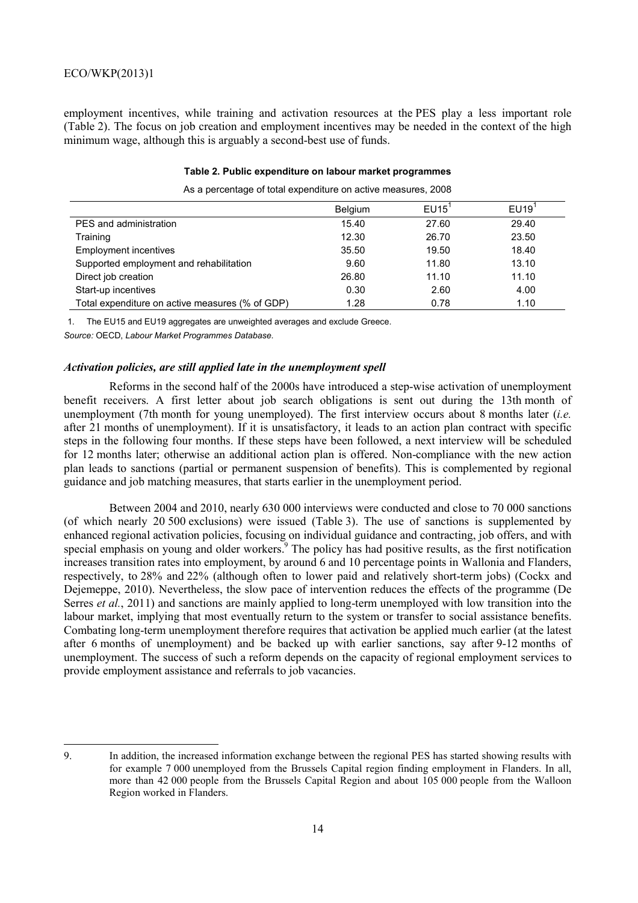employment incentives, while training and activation resources at the PES play a less important role (Table 2). The focus on job creation and employment incentives may be needed in the context of the high minimum wage, although this is arguably a second-best use of funds.

### **Table 2. Public expenditure on labour market programmes**

|                                                 | <b>Belgium</b> | EU15' | EU19' |
|-------------------------------------------------|----------------|-------|-------|
| PES and administration                          | 15.40          | 27.60 | 29.40 |
| Training                                        | 12.30          | 26.70 | 23.50 |
| Employment incentives                           | 35.50          | 19.50 | 18.40 |
| Supported employment and rehabilitation         | 9.60           | 11.80 | 13.10 |
| Direct job creation                             | 26.80          | 11.10 | 11.10 |
| Start-up incentives                             | 0.30           | 2.60  | 4.00  |
| Total expenditure on active measures (% of GDP) | 1.28           | 0.78  | 1.10  |

As a percentage of total expenditure on active measures, 2008

The EU15 and EU19 aggregates are unweighted averages and exclude Greece.

*Source:* OECD, *Labour Market Programmes Database*.

#### *Activation policies, are still applied late in the unemployment spell*

 Reforms in the second half of the 2000s have introduced a step-wise activation of unemployment benefit receivers. A first letter about job search obligations is sent out during the 13th month of unemployment (7th month for young unemployed). The first interview occurs about 8 months later (*i.e.* after 21 months of unemployment). If it is unsatisfactory, it leads to an action plan contract with specific steps in the following four months. If these steps have been followed, a next interview will be scheduled for 12 months later; otherwise an additional action plan is offered. Non-compliance with the new action plan leads to sanctions (partial or permanent suspension of benefits). This is complemented by regional guidance and job matching measures, that starts earlier in the unemployment period.

 Between 2004 and 2010, nearly 630 000 interviews were conducted and close to 70 000 sanctions (of which nearly 20 500 exclusions) were issued (Table 3). The use of sanctions is supplemented by enhanced regional activation policies, focusing on individual guidance and contracting, job offers, and with special emphasis on young and older workers.<sup>9</sup> The policy has had positive results, as the first notification increases transition rates into employment, by around 6 and 10 percentage points in Wallonia and Flanders, respectively, to 28% and 22% (although often to lower paid and relatively short-term jobs) (Cockx and Dejemeppe, 2010). Nevertheless, the slow pace of intervention reduces the effects of the programme (De Serres *et al.*, 2011) and sanctions are mainly applied to long-term unemployed with low transition into the labour market, implying that most eventually return to the system or transfer to social assistance benefits. Combating long-term unemployment therefore requires that activation be applied much earlier (at the latest after 6 months of unemployment) and be backed up with earlier sanctions, say after 9-12 months of unemployment. The success of such a reform depends on the capacity of regional employment services to provide employment assistance and referrals to job vacancies.

<sup>9.</sup> In addition, the increased information exchange between the regional PES has started showing results with for example 7 000 unemployed from the Brussels Capital region finding employment in Flanders. In all, more than 42 000 people from the Brussels Capital Region and about 105 000 people from the Walloon Region worked in Flanders.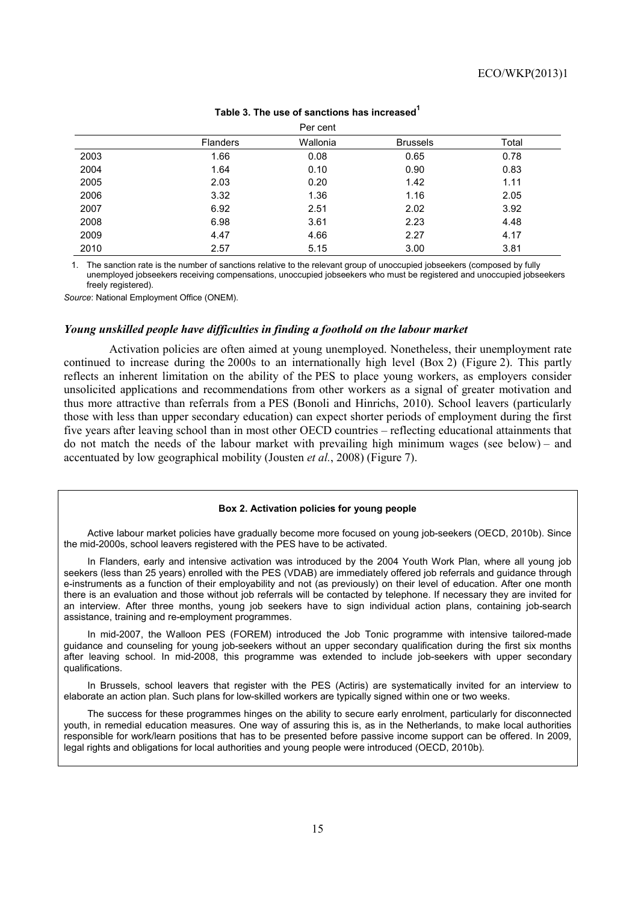|      |                 | Per cent |                 |       |  |
|------|-----------------|----------|-----------------|-------|--|
|      | <b>Flanders</b> | Wallonia | <b>Brussels</b> | Total |  |
| 2003 | 1.66            | 0.08     | 0.65            | 0.78  |  |
| 2004 | 1.64            | 0.10     | 0.90            | 0.83  |  |
| 2005 | 2.03            | 0.20     | 1.42            | 1.11  |  |
| 2006 | 3.32            | 1.36     | 1.16            | 2.05  |  |
| 2007 | 6.92            | 2.51     | 2.02            | 3.92  |  |
| 2008 | 6.98            | 3.61     | 2.23            | 4.48  |  |
| 2009 | 4.47            | 4.66     | 2.27            | 4.17  |  |
| 2010 | 2.57            | 5.15     | 3.00            | 3.81  |  |

# Table 3. The use of sanctions has increased $^1$

The sanction rate is the number of sanctions relative to the relevant group of unoccupied jobseekers (composed by fully unemployed jobseekers receiving compensations, unoccupied jobseekers who must be registered and unoccupied jobseekers freely registered).

*Source*: National Employment Office (ONEM).

# *Young unskilled people have difficulties in finding a foothold on the labour market*

 Activation policies are often aimed at young unemployed. Nonetheless, their unemployment rate continued to increase during the 2000s to an internationally high level (Box 2) (Figure 2). This partly reflects an inherent limitation on the ability of the PES to place young workers, as employers consider unsolicited applications and recommendations from other workers as a signal of greater motivation and thus more attractive than referrals from a PES (Bonoli and Hinrichs, 2010). School leavers (particularly those with less than upper secondary education) can expect shorter periods of employment during the first five years after leaving school than in most other OECD countries – reflecting educational attainments that do not match the needs of the labour market with prevailing high minimum wages (see below) – and accentuated by low geographical mobility (Jousten *et al.*, 2008) (Figure 7).

#### **Box 2. Activation policies for young people**

Active labour market policies have gradually become more focused on young job-seekers (OECD, 2010b). Since the mid-2000s, school leavers registered with the PES have to be activated.

In Flanders, early and intensive activation was introduced by the 2004 Youth Work Plan, where all young job seekers (less than 25 years) enrolled with the PES (VDAB) are immediately offered job referrals and guidance through e-instruments as a function of their employability and not (as previously) on their level of education. After one month there is an evaluation and those without job referrals will be contacted by telephone. If necessary they are invited for an interview. After three months, young job seekers have to sign individual action plans, containing job-search assistance, training and re-employment programmes.

In mid-2007, the Walloon PES (FOREM) introduced the Job Tonic programme with intensive tailored-made guidance and counseling for young job-seekers without an upper secondary qualification during the first six months after leaving school. In mid-2008, this programme was extended to include job-seekers with upper secondary qualifications.

In Brussels, school leavers that register with the PES (Actiris) are systematically invited for an interview to elaborate an action plan. Such plans for low-skilled workers are typically signed within one or two weeks.

The success for these programmes hinges on the ability to secure early enrolment, particularly for disconnected youth, in remedial education measures. One way of assuring this is, as in the Netherlands, to make local authorities responsible for work/learn positions that has to be presented before passive income support can be offered. In 2009, legal rights and obligations for local authorities and young people were introduced (OECD, 2010b).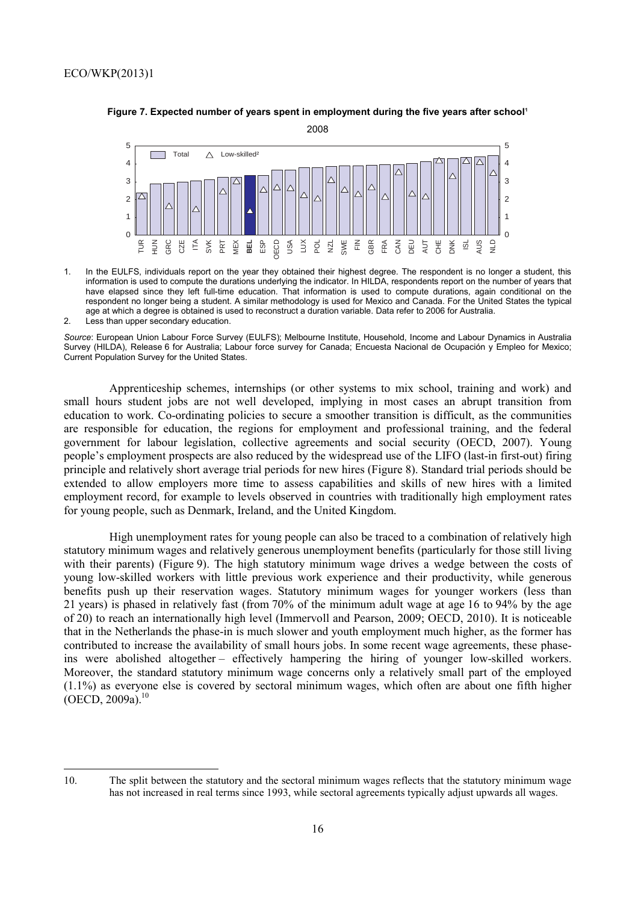

### Figure 7. Expected number of years spent in employment during the five years after school<sup>1</sup>

1. In the EULFS, individuals report on the year they obtained their highest degree. The respondent is no longer a student, this information is used to compute the durations underlying the indicator. In HILDA, respondents report on the number of years that have elapsed since they left full-time education. That information is used to compute durations, again conditional on the respondent no longer being a student. A similar methodology is used for Mexico and Canada. For the United States the typical age at which a degree is obtained is used to reconstruct a duration variable. Data refer to 2006 for Australia.

2. Less than upper secondary education.

*Source*: European Union Labour Force Survey (EULFS); Melbourne Institute, Household, Income and Labour Dynamics in Australia Survey (HILDA), Release 6 for Australia; Labour force survey for Canada; Encuesta Nacional de Ocupación y Empleo for Mexico; Current Population Survey for the United States.

 Apprenticeship schemes, internships (or other systems to mix school, training and work) and small hours student jobs are not well developed, implying in most cases an abrupt transition from education to work. Co-ordinating policies to secure a smoother transition is difficult, as the communities are responsible for education, the regions for employment and professional training, and the federal government for labour legislation, collective agreements and social security (OECD, 2007). Young people's employment prospects are also reduced by the widespread use of the LIFO (last-in first-out) firing principle and relatively short average trial periods for new hires (Figure 8). Standard trial periods should be extended to allow employers more time to assess capabilities and skills of new hires with a limited employment record, for example to levels observed in countries with traditionally high employment rates for young people, such as Denmark, Ireland, and the United Kingdom.

 High unemployment rates for young people can also be traced to a combination of relatively high statutory minimum wages and relatively generous unemployment benefits (particularly for those still living with their parents) (Figure 9). The high statutory minimum wage drives a wedge between the costs of young low-skilled workers with little previous work experience and their productivity, while generous benefits push up their reservation wages. Statutory minimum wages for younger workers (less than 21 years) is phased in relatively fast (from 70% of the minimum adult wage at age 16 to 94% by the age of 20) to reach an internationally high level (Immervoll and Pearson, 2009; OECD, 2010). It is noticeable that in the Netherlands the phase-in is much slower and youth employment much higher, as the former has contributed to increase the availability of small hours jobs. In some recent wage agreements, these phaseins were abolished altogether – effectively hampering the hiring of younger low-skilled workers. Moreover, the standard statutory minimum wage concerns only a relatively small part of the employed (1.1%) as everyone else is covered by sectoral minimum wages, which often are about one fifth higher  $(OECD, 2009a)^{10}$ 

<sup>10.</sup> The split between the statutory and the sectoral minimum wages reflects that the statutory minimum wage has not increased in real terms since 1993, while sectoral agreements typically adjust upwards all wages.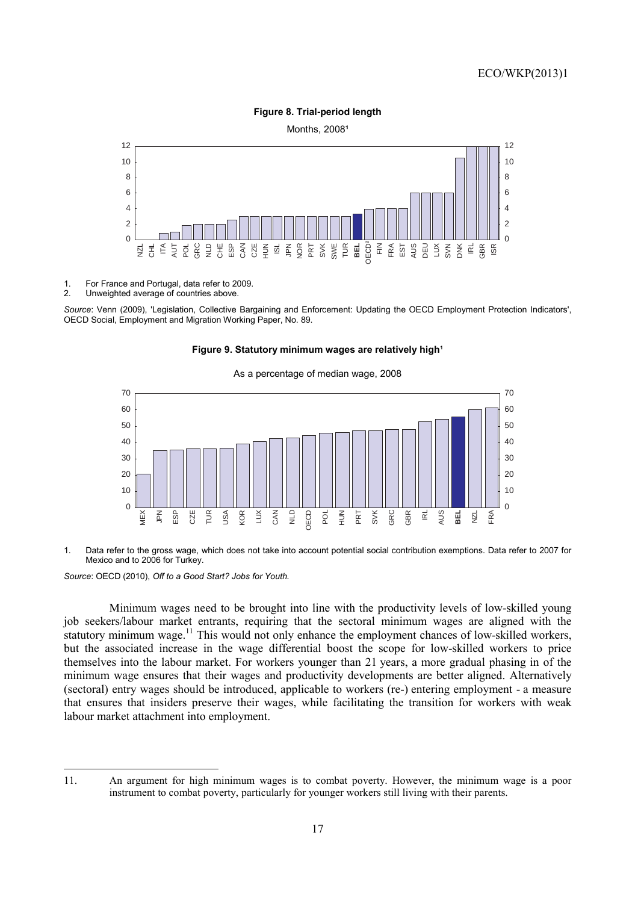



1. For France and Portugal, data refer to 2009.

2. Unweighted average of countries above.

*Source*: Venn (2009), 'Legislation, Collective Bargaining and Enforcement: Updating the OECD Employment Protection Indicators', OECD Social, Employment and Migration Working Paper, No. 89.



As a percentage of median wage, 2008



1. Data refer to the gross wage, which does not take into account potential social contribution exemptions. Data refer to 2007 for Mexico and to 2006 for Turkey.

*Source*: OECD (2010), *Off to a Good Start? Jobs for Youth.*

 Minimum wages need to be brought into line with the productivity levels of low-skilled young job seekers/labour market entrants, requiring that the sectoral minimum wages are aligned with the statutory minimum wage.<sup>11</sup> This would not only enhance the employment chances of low-skilled workers, but the associated increase in the wage differential boost the scope for low-skilled workers to price themselves into the labour market. For workers younger than 21 years, a more gradual phasing in of the minimum wage ensures that their wages and productivity developments are better aligned. Alternatively (sectoral) entry wages should be introduced, applicable to workers (re-) entering employment - a measure that ensures that insiders preserve their wages, while facilitating the transition for workers with weak labour market attachment into employment.

<sup>11.</sup> An argument for high minimum wages is to combat poverty. However, the minimum wage is a poor instrument to combat poverty, particularly for younger workers still living with their parents.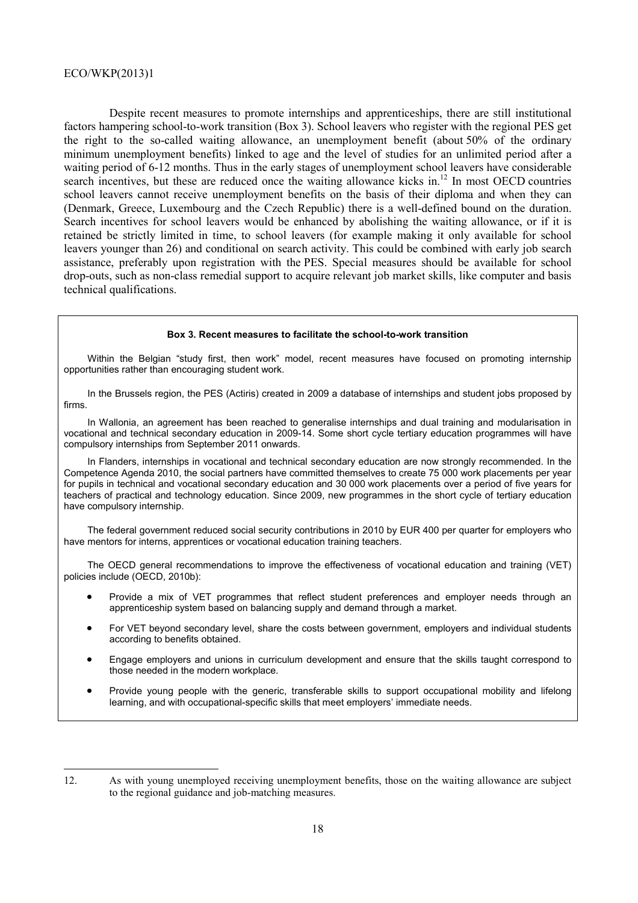Despite recent measures to promote internships and apprenticeships, there are still institutional factors hampering school-to-work transition (Box 3). School leavers who register with the regional PES get the right to the so-called waiting allowance, an unemployment benefit (about 50% of the ordinary minimum unemployment benefits) linked to age and the level of studies for an unlimited period after a waiting period of 6-12 months. Thus in the early stages of unemployment school leavers have considerable search incentives, but these are reduced once the waiting allowance kicks in.<sup>12</sup> In most OECD countries school leavers cannot receive unemployment benefits on the basis of their diploma and when they can (Denmark, Greece, Luxembourg and the Czech Republic) there is a well-defined bound on the duration. Search incentives for school leavers would be enhanced by abolishing the waiting allowance, or if it is retained be strictly limited in time, to school leavers (for example making it only available for school leavers younger than 26) and conditional on search activity. This could be combined with early job search assistance, preferably upon registration with the PES. Special measures should be available for school drop-outs, such as non-class remedial support to acquire relevant job market skills, like computer and basis technical qualifications.

#### **Box 3. Recent measures to facilitate the school-to-work transition**

Within the Belgian "study first, then work" model, recent measures have focused on promoting internship opportunities rather than encouraging student work.

In the Brussels region, the PES (Actiris) created in 2009 a database of internships and student jobs proposed by firms.

In Wallonia, an agreement has been reached to generalise internships and dual training and modularisation in vocational and technical secondary education in 2009-14. Some short cycle tertiary education programmes will have compulsory internships from September 2011 onwards.

In Flanders, internships in vocational and technical secondary education are now strongly recommended. In the Competence Agenda 2010, the social partners have committed themselves to create 75 000 work placements per year for pupils in technical and vocational secondary education and 30 000 work placements over a period of five years for teachers of practical and technology education. Since 2009, new programmes in the short cycle of tertiary education have compulsory internship.

The federal government reduced social security contributions in 2010 by EUR 400 per quarter for employers who have mentors for interns, apprentices or vocational education training teachers.

The OECD general recommendations to improve the effectiveness of vocational education and training (VET) policies include (OECD, 2010b):

- Provide a mix of VET programmes that reflect student preferences and employer needs through an apprenticeship system based on balancing supply and demand through a market.
- For VET beyond secondary level, share the costs between government, employers and individual students according to benefits obtained.
- Engage employers and unions in curriculum development and ensure that the skills taught correspond to those needed in the modern workplace.
- Provide young people with the generic, transferable skills to support occupational mobility and lifelong learning, and with occupational-specific skills that meet employers' immediate needs.

<sup>12.</sup> As with young unemployed receiving unemployment benefits, those on the waiting allowance are subject to the regional guidance and job-matching measures.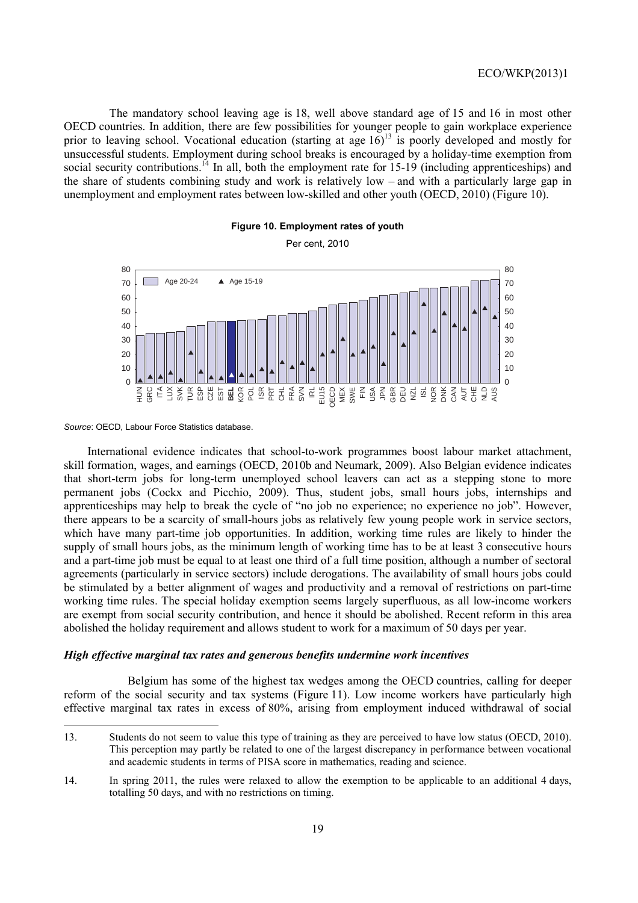The mandatory school leaving age is 18, well above standard age of 15 and 16 in most other OECD countries. In addition, there are few possibilities for younger people to gain workplace experience prior to leaving school. Vocational education (starting at age 16)<sup>13</sup> is poorly developed and mostly for unsuccessful students. Employment during school breaks is encouraged by a holiday-time exemption from social security contributions.<sup>14</sup> In all, both the employment rate for  $15-19$  (including apprenticeships) and the share of students combining study and work is relatively low – and with a particularly large gap in unemployment and employment rates between low-skilled and other youth (OECD, 2010) (Figure 10).

#### **Figure 10. Employment rates of youth**

Per cent, 2010



*Source*: OECD, Labour Force Statistics database.

International evidence indicates that school-to-work programmes boost labour market attachment, skill formation, wages, and earnings (OECD, 2010b and Neumark, 2009). Also Belgian evidence indicates that short-term jobs for long-term unemployed school leavers can act as a stepping stone to more permanent jobs (Cockx and Picchio, 2009). Thus, student jobs, small hours jobs, internships and apprenticeships may help to break the cycle of "no job no experience; no experience no job". However, there appears to be a scarcity of small-hours jobs as relatively few young people work in service sectors, which have many part-time job opportunities. In addition, working time rules are likely to hinder the supply of small hours jobs, as the minimum length of working time has to be at least 3 consecutive hours and a part-time job must be equal to at least one third of a full time position, although a number of sectoral agreements (particularly in service sectors) include derogations. The availability of small hours jobs could be stimulated by a better alignment of wages and productivity and a removal of restrictions on part-time working time rules. The special holiday exemption seems largely superfluous, as all low-income workers are exempt from social security contribution, and hence it should be abolished. Recent reform in this area abolished the holiday requirement and allows student to work for a maximum of 50 days per year.

### *High effective marginal tax rates and generous benefits undermine work incentives*

 Belgium has some of the highest tax wedges among the OECD countries, calling for deeper reform of the social security and tax systems (Figure 11). Low income workers have particularly high effective marginal tax rates in excess of 80%, arising from employment induced withdrawal of social

<sup>13.</sup> Students do not seem to value this type of training as they are perceived to have low status (OECD, 2010). This perception may partly be related to one of the largest discrepancy in performance between vocational and academic students in terms of PISA score in mathematics, reading and science.

<sup>14.</sup> In spring 2011, the rules were relaxed to allow the exemption to be applicable to an additional 4 days, totalling 50 days, and with no restrictions on timing.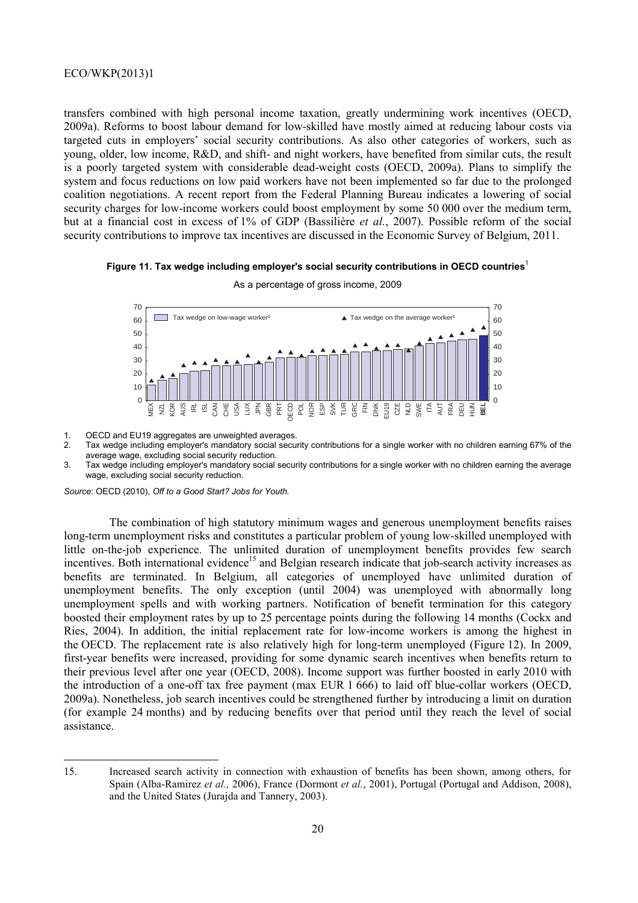transfers combined with high personal income taxation, greatly undermining work incentives (OECD, 2009a). Reforms to boost labour demand for low-skilled have mostly aimed at reducing labour costs via targeted cuts in employers' social security contributions. As also other categories of workers, such as young, older, low income, R&D, and shift- and night workers, have benefited from similar cuts, the result is a poorly targeted system with considerable dead-weight costs (OECD, 2009a). Plans to simplify the system and focus reductions on low paid workers have not been implemented so far due to the prolonged coalition negotiations. A recent report from the Federal Planning Bureau indicates a lowering of social security charges for low-income workers could boost employment by some 50 000 over the medium term, but at a financial cost in excess of 1% of GDP (Bassilière *et al.*, 2007). Possible reform of the social security contributions to improve tax incentives are discussed in the Economic Survey of Belgium, 2011.





As a percentage of gross income, 2009

1. OECD and EU19 aggregates are unweighted averages.

2. Tax wedge including employer's mandatory social security contributions for a single worker with no children earning 67% of the average wage, excluding social security reduction.

3. Tax wedge including employer's mandatory social security contributions for a single worker with no children earning the average wage, excluding social security reduction.

*Source*: OECD (2010), *Off to a Good Start? Jobs for Youth.*

 The combination of high statutory minimum wages and generous unemployment benefits raises long-term unemployment risks and constitutes a particular problem of young low-skilled unemployed with little on-the-job experience. The unlimited duration of unemployment benefits provides few search incentives. Both international evidence<sup>15</sup> and Belgian research indicate that job-search activity increases as benefits are terminated. In Belgium, all categories of unemployed have unlimited duration of unemployment benefits. The only exception (until 2004) was unemployed with abnormally long unemployment spells and with working partners. Notification of benefit termination for this category boosted their employment rates by up to 25 percentage points during the following 14 months (Cockx and Ries, 2004). In addition, the initial replacement rate for low-income workers is among the highest in the OECD. The replacement rate is also relatively high for long-term unemployed (Figure 12). In 2009, first-year benefits were increased, providing for some dynamic search incentives when benefits return to their previous level after one year (OECD, 2008). Income support was further boosted in early 2010 with the introduction of a one-off tax free payment (max EUR 1 666) to laid off blue-collar workers (OECD, 2009a). Nonetheless, job search incentives could be strengthened further by introducing a limit on duration (for example 24 months) and by reducing benefits over that period until they reach the level of social assistance.

<sup>15.</sup> Increased search activity in connection with exhaustion of benefits has been shown, among others, for Spain (Alba-Ramirez *et al.,* 2006), France (Dormont *et al.*, 2001), Portugal (Portugal and Addison, 2008), and the United States (Jurajda and Tannery, 2003).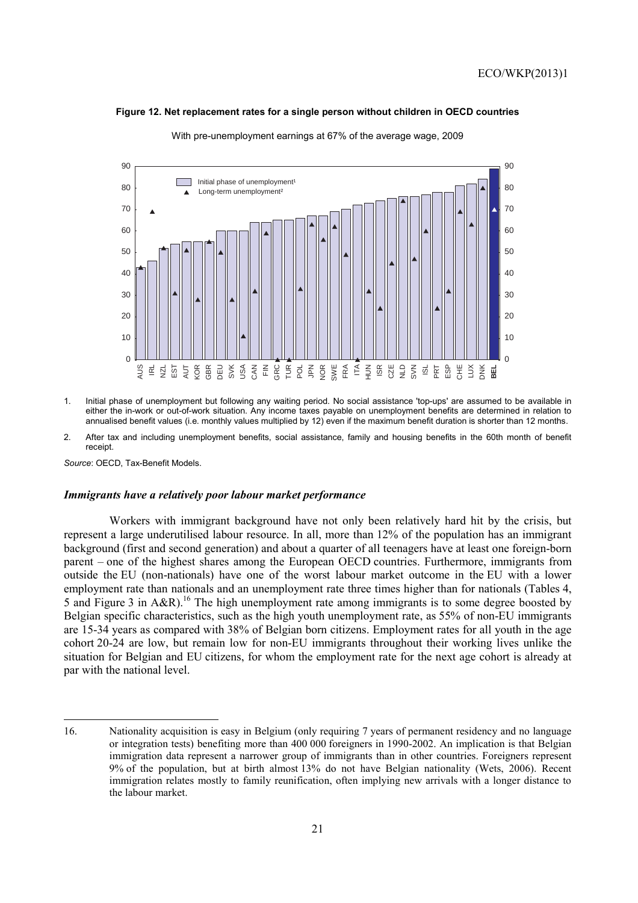### **Figure 12. Net replacement rates for a single person without children in OECD countries**



With pre-unemployment earnings at 67% of the average wage, 2009

- 1. Initial phase of unemployment but following any waiting period. No social assistance 'top-ups' are assumed to be available in either the in-work or out-of-work situation. Any income taxes payable on unemployment benefits are determined in relation to annualised benefit values (i.e. monthly values multiplied by 12) even if the maximum benefit duration is shorter than 12 months.
- 2. After tax and including unemployment benefits, social assistance, family and housing benefits in the 60th month of benefit receipt.

*Source*: OECD, Tax-Benefit Models.

 $\overline{a}$ 

#### *Immigrants have a relatively poor labour market performance*

 Workers with immigrant background have not only been relatively hard hit by the crisis, but represent a large underutilised labour resource. In all, more than 12% of the population has an immigrant background (first and second generation) and about a quarter of all teenagers have at least one foreign-born parent – one of the highest shares among the European OECD countries. Furthermore, immigrants from outside the EU (non-nationals) have one of the worst labour market outcome in the EU with a lower employment rate than nationals and an unemployment rate three times higher than for nationals (Tables 4, 5 and Figure 3 in A&R).<sup>16</sup> The high unemployment rate among immigrants is to some degree boosted by Belgian specific characteristics, such as the high youth unemployment rate, as 55% of non-EU immigrants are 15-34 years as compared with 38% of Belgian born citizens. Employment rates for all youth in the age cohort 20-24 are low, but remain low for non-EU immigrants throughout their working lives unlike the situation for Belgian and EU citizens, for whom the employment rate for the next age cohort is already at par with the national level.

<sup>16.</sup> Nationality acquisition is easy in Belgium (only requiring 7 years of permanent residency and no language or integration tests) benefiting more than 400 000 foreigners in 1990-2002. An implication is that Belgian immigration data represent a narrower group of immigrants than in other countries. Foreigners represent 9% of the population, but at birth almost 13% do not have Belgian nationality (Wets, 2006). Recent immigration relates mostly to family reunification, often implying new arrivals with a longer distance to the labour market.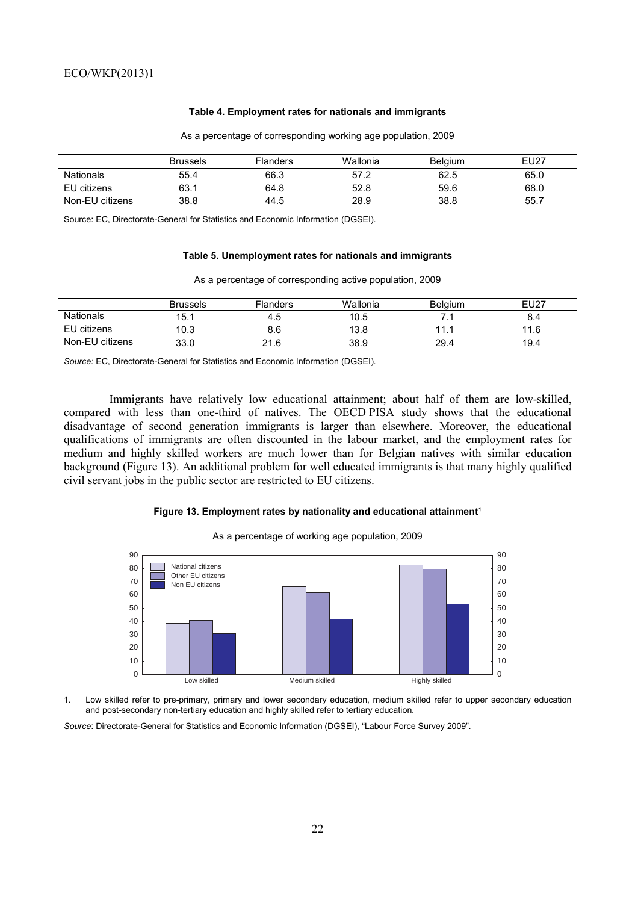### **Table 4. Employment rates for nationals and immigrants**

|                  | <b>Brussels</b> | Flanders | Wallonia | <b>Belgium</b> | EU27 |
|------------------|-----------------|----------|----------|----------------|------|
| <b>Nationals</b> | 55.4            | 66.3     | 57.2     | 62.5           | 65.0 |
| EU citizens      | 63.1            | 64.8     | 52.8     | 59.6           | 68.0 |
| Non-EU citizens  | 38.8            | 44.5     | 28.9     | 38.8           | 55.7 |

As a percentage of corresponding working age population, 2009

Source: EC, Directorate-General for Statistics and Economic Information (DGSEI).

#### **Table 5. Unemployment rates for nationals and immigrants**

|                  | <b>Brussels</b> | <b>Flanders</b> | Wallonia | <b>Belgium</b> | <b>EU27</b> |
|------------------|-----------------|-----------------|----------|----------------|-------------|
| <b>Nationals</b> | 15.1            | 4.5             | 10.5     |                | 8.4         |
| EU citizens      | 10.3            | 8.6             | 13.8     | 11 1           | 11.6        |
| Non-EU citizens  | 33.0            | 21.6            | 38.9     | 29.4           | 19.4        |

As a percentage of corresponding active population, 2009

*Source:* EC, Directorate-General for Statistics and Economic Information (DGSEI).

 Immigrants have relatively low educational attainment; about half of them are low-skilled, compared with less than one-third of natives. The OECD PISA study shows that the educational disadvantage of second generation immigrants is larger than elsewhere. Moreover, the educational qualifications of immigrants are often discounted in the labour market, and the employment rates for medium and highly skilled workers are much lower than for Belgian natives with similar education background (Figure 13). An additional problem for well educated immigrants is that many highly qualified civil servant jobs in the public sector are restricted to EU citizens.

#### **Figure 13. Employment rates by nationality and educational attainment<sup>1</sup>**



As a percentage of working age population, 2009

1. Low skilled refer to pre-primary, primary and lower secondary education, medium skilled refer to upper secondary education and post-secondary non-tertiary education and highly skilled refer to tertiary education.

*Source*: Directorate-General for Statistics and Economic Information (DGSEI), "Labour Force Survey 2009"*.*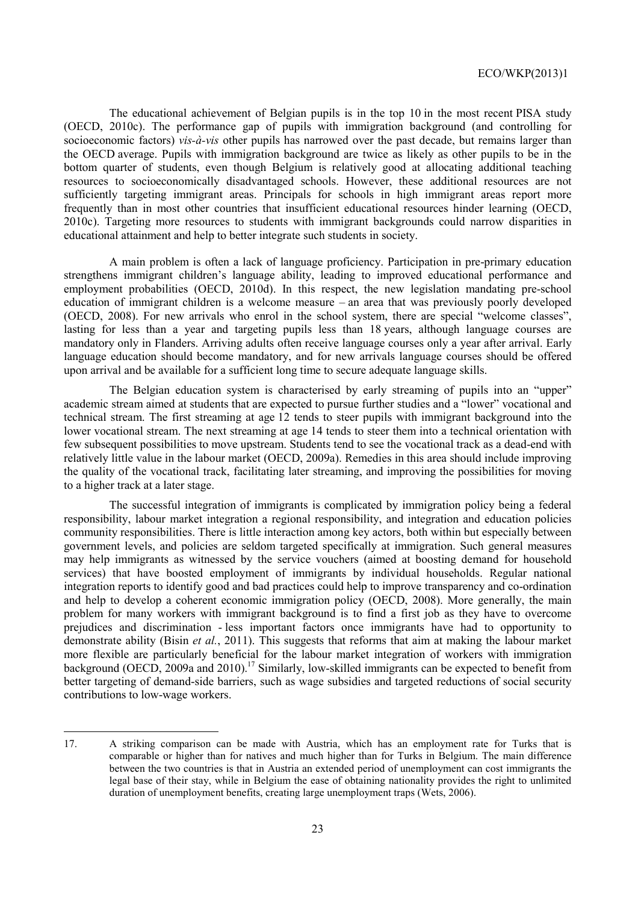The educational achievement of Belgian pupils is in the top 10 in the most recent PISA study (OECD, 2010c). The performance gap of pupils with immigration background (and controlling for socioeconomic factors) *vis-à-vis* other pupils has narrowed over the past decade, but remains larger than the OECD average. Pupils with immigration background are twice as likely as other pupils to be in the bottom quarter of students, even though Belgium is relatively good at allocating additional teaching resources to socioeconomically disadvantaged schools. However, these additional resources are not sufficiently targeting immigrant areas. Principals for schools in high immigrant areas report more frequently than in most other countries that insufficient educational resources hinder learning (OECD, 2010c). Targeting more resources to students with immigrant backgrounds could narrow disparities in educational attainment and help to better integrate such students in society.

 A main problem is often a lack of language proficiency. Participation in pre-primary education strengthens immigrant children's language ability, leading to improved educational performance and employment probabilities (OECD, 2010d). In this respect, the new legislation mandating pre-school education of immigrant children is a welcome measure – an area that was previously poorly developed (OECD, 2008). For new arrivals who enrol in the school system, there are special "welcome classes", lasting for less than a year and targeting pupils less than 18 years, although language courses are mandatory only in Flanders. Arriving adults often receive language courses only a year after arrival. Early language education should become mandatory, and for new arrivals language courses should be offered upon arrival and be available for a sufficient long time to secure adequate language skills.

 The Belgian education system is characterised by early streaming of pupils into an "upper" academic stream aimed at students that are expected to pursue further studies and a "lower" vocational and technical stream. The first streaming at age 12 tends to steer pupils with immigrant background into the lower vocational stream. The next streaming at age 14 tends to steer them into a technical orientation with few subsequent possibilities to move upstream. Students tend to see the vocational track as a dead-end with relatively little value in the labour market (OECD, 2009a). Remedies in this area should include improving the quality of the vocational track, facilitating later streaming, and improving the possibilities for moving to a higher track at a later stage.

 The successful integration of immigrants is complicated by immigration policy being a federal responsibility, labour market integration a regional responsibility, and integration and education policies community responsibilities. There is little interaction among key actors, both within but especially between government levels, and policies are seldom targeted specifically at immigration. Such general measures may help immigrants as witnessed by the service vouchers (aimed at boosting demand for household services) that have boosted employment of immigrants by individual households. Regular national integration reports to identify good and bad practices could help to improve transparency and co-ordination and help to develop a coherent economic immigration policy (OECD, 2008). More generally, the main problem for many workers with immigrant background is to find a first job as they have to overcome prejudices and discrimination - less important factors once immigrants have had to opportunity to demonstrate ability (Bisin *et al.*, 2011). This suggests that reforms that aim at making the labour market more flexible are particularly beneficial for the labour market integration of workers with immigration background (OECD, 2009a and 2010).<sup>17</sup> Similarly, low-skilled immigrants can be expected to benefit from better targeting of demand-side barriers, such as wage subsidies and targeted reductions of social security contributions to low-wage workers.

<sup>17.</sup> A striking comparison can be made with Austria, which has an employment rate for Turks that is comparable or higher than for natives and much higher than for Turks in Belgium. The main difference between the two countries is that in Austria an extended period of unemployment can cost immigrants the legal base of their stay, while in Belgium the ease of obtaining nationality provides the right to unlimited duration of unemployment benefits, creating large unemployment traps (Wets, 2006).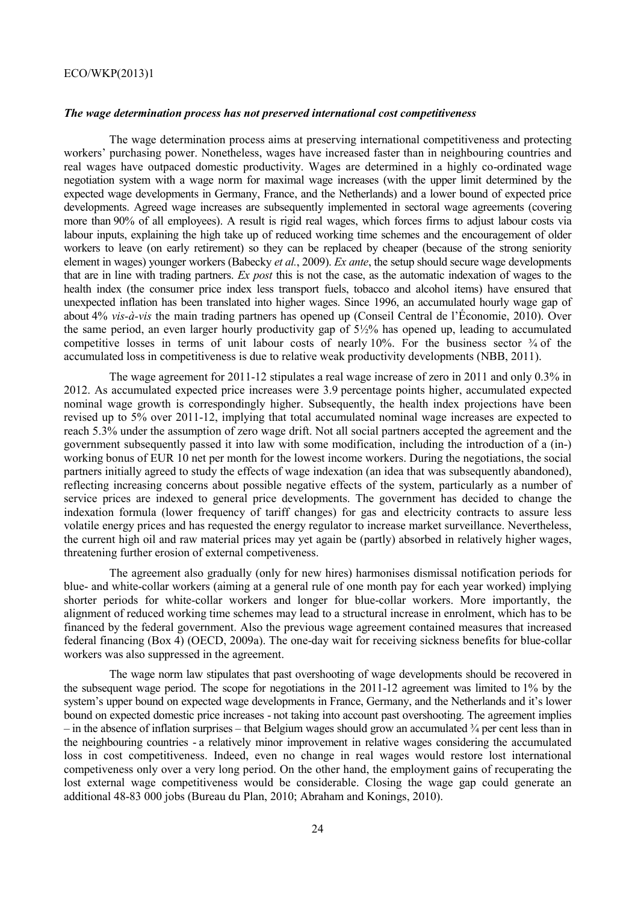#### *The wage determination process has not preserved international cost competitiveness*

 The wage determination process aims at preserving international competitiveness and protecting workers' purchasing power. Nonetheless, wages have increased faster than in neighbouring countries and real wages have outpaced domestic productivity. Wages are determined in a highly co-ordinated wage negotiation system with a wage norm for maximal wage increases (with the upper limit determined by the expected wage developments in Germany, France, and the Netherlands) and a lower bound of expected price developments. Agreed wage increases are subsequently implemented in sectoral wage agreements (covering more than 90% of all employees). A result is rigid real wages, which forces firms to adjust labour costs via labour inputs, explaining the high take up of reduced working time schemes and the encouragement of older workers to leave (on early retirement) so they can be replaced by cheaper (because of the strong seniority element in wages) younger workers (Babecky *et al.*, 2009). *Ex ante*, the setup should secure wage developments that are in line with trading partners. *Ex post* this is not the case, as the automatic indexation of wages to the health index (the consumer price index less transport fuels, tobacco and alcohol items) have ensured that unexpected inflation has been translated into higher wages. Since 1996, an accumulated hourly wage gap of about 4% *vis-à-vis* the main trading partners has opened up (Conseil Central de l'Économie, 2010). Over the same period, an even larger hourly productivity gap of 5½% has opened up, leading to accumulated competitive losses in terms of unit labour costs of nearly 10%. For the business sector  $\frac{3}{4}$  of the accumulated loss in competitiveness is due to relative weak productivity developments (NBB, 2011).

 The wage agreement for 2011-12 stipulates a real wage increase of zero in 2011 and only 0.3% in 2012. As accumulated expected price increases were 3.9 percentage points higher, accumulated expected nominal wage growth is correspondingly higher. Subsequently, the health index projections have been revised up to 5% over 2011-12, implying that total accumulated nominal wage increases are expected to reach 5.3% under the assumption of zero wage drift. Not all social partners accepted the agreement and the government subsequently passed it into law with some modification, including the introduction of a (in-) working bonus of EUR 10 net per month for the lowest income workers. During the negotiations, the social partners initially agreed to study the effects of wage indexation (an idea that was subsequently abandoned), reflecting increasing concerns about possible negative effects of the system, particularly as a number of service prices are indexed to general price developments. The government has decided to change the indexation formula (lower frequency of tariff changes) for gas and electricity contracts to assure less volatile energy prices and has requested the energy regulator to increase market surveillance. Nevertheless, the current high oil and raw material prices may yet again be (partly) absorbed in relatively higher wages, threatening further erosion of external competiveness.

 The agreement also gradually (only for new hires) harmonises dismissal notification periods for blue- and white-collar workers (aiming at a general rule of one month pay for each year worked) implying shorter periods for white-collar workers and longer for blue-collar workers. More importantly, the alignment of reduced working time schemes may lead to a structural increase in enrolment, which has to be financed by the federal government. Also the previous wage agreement contained measures that increased federal financing (Box 4) (OECD, 2009a). The one-day wait for receiving sickness benefits for blue-collar workers was also suppressed in the agreement.

 The wage norm law stipulates that past overshooting of wage developments should be recovered in the subsequent wage period. The scope for negotiations in the 2011-12 agreement was limited to 1% by the system's upper bound on expected wage developments in France, Germany, and the Netherlands and it's lower bound on expected domestic price increases - not taking into account past overshooting. The agreement implies – in the absence of inflation surprises – that Belgium wages should grow an accumulated  $\frac{3}{4}$  per cent less than in the neighbouring countries - a relatively minor improvement in relative wages considering the accumulated loss in cost competitiveness. Indeed, even no change in real wages would restore lost international competiveness only over a very long period. On the other hand, the employment gains of recuperating the lost external wage competitiveness would be considerable. Closing the wage gap could generate an additional 48-83 000 jobs (Bureau du Plan, 2010; Abraham and Konings, 2010).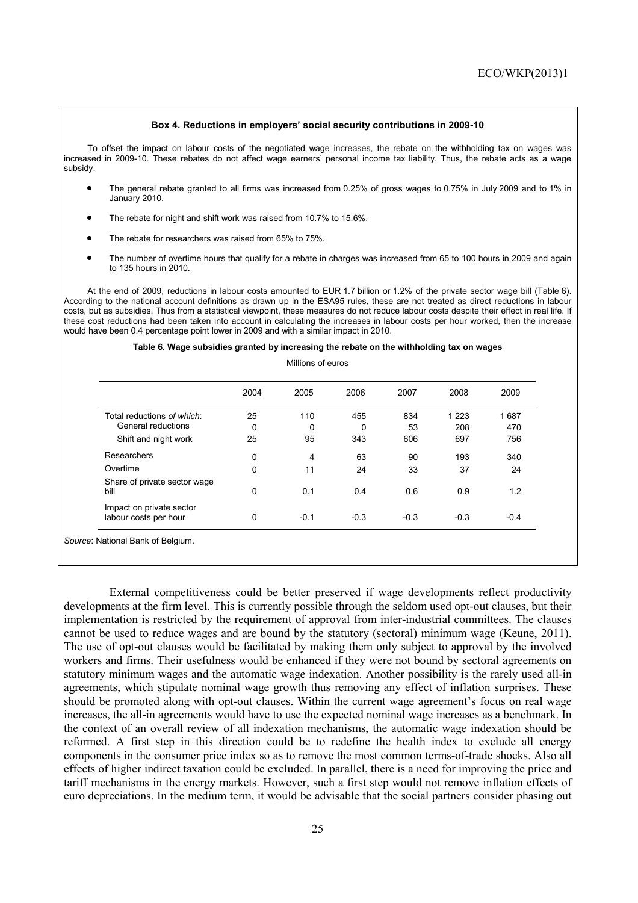#### **Box 4. Reductions in employers' social security contributions in 2009-10**

To offset the impact on labour costs of the negotiated wage increases, the rebate on the withholding tax on wages was increased in 2009-10. These rebates do not affect wage earners' personal income tax liability. Thus, the rebate acts as a wage subsidy.

- The general rebate granted to all firms was increased from 0.25% of gross wages to 0.75% in July 2009 and to 1% in January 2010.
- The rebate for night and shift work was raised from 10.7% to 15.6%.
- The rebate for researchers was raised from 65% to 75%.
- The number of overtime hours that qualify for a rebate in charges was increased from 65 to 100 hours in 2009 and again to 135 hours in 2010.

At the end of 2009, reductions in labour costs amounted to EUR 1.7 billion or 1.2% of the private sector wage bill (Table 6). According to the national account definitions as drawn up in the ESA95 rules, these are not treated as direct reductions in labour costs, but as subsidies. Thus from a statistical viewpoint, these measures do not reduce labour costs despite their effect in real life. If these cost reductions had been taken into account in calculating the increases in labour costs per hour worked, then the increase would have been 0.4 percentage point lower in 2009 and with a similar impact in 2010.

| Millions of euros                                 |          |        |        |        |         |        |
|---------------------------------------------------|----------|--------|--------|--------|---------|--------|
|                                                   | 2004     | 2005   | 2006   | 2007   | 2008    | 2009   |
| Total reductions of which:                        | 25       | 110    | 455    | 834    | 1 2 2 3 | 1687   |
| General reductions                                | 0        | 0      | 0      | 53     | 208     | 470    |
| Shift and night work                              | 25       | 95     | 343    | 606    | 697     | 756    |
| Researchers                                       | 0        | 4      | 63     | 90     | 193     | 340    |
| Overtime                                          | $\Omega$ | 11     | 24     | 33     | 37      | 24     |
| Share of private sector wage<br>bill              | 0        | 0.1    | 0.4    | 0.6    | 0.9     | 1.2    |
| Impact on private sector<br>labour costs per hour | 0        | $-0.1$ | $-0.3$ | $-0.3$ | $-0.3$  | $-0.4$ |

**Table 6. Wage subsidies granted by increasing the rebate on the withholding tax on wages** 

*Source*: National Bank of Belgium.

 External competitiveness could be better preserved if wage developments reflect productivity developments at the firm level. This is currently possible through the seldom used opt-out clauses, but their implementation is restricted by the requirement of approval from inter-industrial committees. The clauses cannot be used to reduce wages and are bound by the statutory (sectoral) minimum wage (Keune, 2011). The use of opt-out clauses would be facilitated by making them only subject to approval by the involved workers and firms. Their usefulness would be enhanced if they were not bound by sectoral agreements on statutory minimum wages and the automatic wage indexation. Another possibility is the rarely used all-in agreements, which stipulate nominal wage growth thus removing any effect of inflation surprises. These should be promoted along with opt-out clauses. Within the current wage agreement's focus on real wage increases, the all-in agreements would have to use the expected nominal wage increases as a benchmark. In the context of an overall review of all indexation mechanisms, the automatic wage indexation should be reformed. A first step in this direction could be to redefine the health index to exclude all energy components in the consumer price index so as to remove the most common terms-of-trade shocks. Also all effects of higher indirect taxation could be excluded. In parallel, there is a need for improving the price and tariff mechanisms in the energy markets. However, such a first step would not remove inflation effects of euro depreciations. In the medium term, it would be advisable that the social partners consider phasing out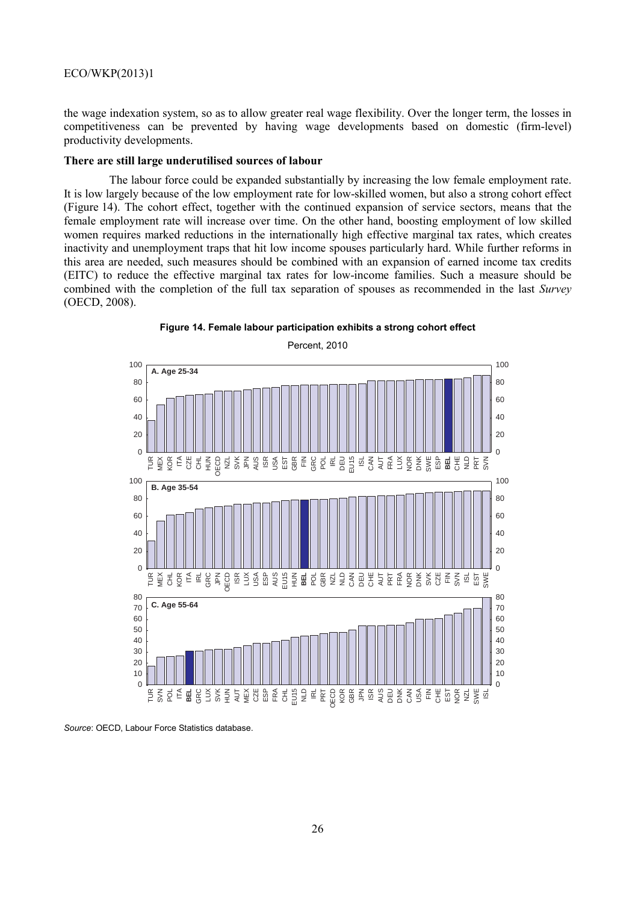the wage indexation system, so as to allow greater real wage flexibility. Over the longer term, the losses in competitiveness can be prevented by having wage developments based on domestic (firm-level) productivity developments.

### **There are still large underutilised sources of labour**

 The labour force could be expanded substantially by increasing the low female employment rate. It is low largely because of the low employment rate for low-skilled women, but also a strong cohort effect (Figure 14). The cohort effect, together with the continued expansion of service sectors, means that the female employment rate will increase over time. On the other hand, boosting employment of low skilled women requires marked reductions in the internationally high effective marginal tax rates, which creates inactivity and unemployment traps that hit low income spouses particularly hard. While further reforms in this area are needed, such measures should be combined with an expansion of earned income tax credits (EITC) to reduce the effective marginal tax rates for low-income families. Such a measure should be combined with the completion of the full tax separation of spouses as recommended in the last *Survey* (OECD, 2008).



**Figure 14. Female labour participation exhibits a strong cohort effect** 

*Source*: OECD, Labour Force Statistics database.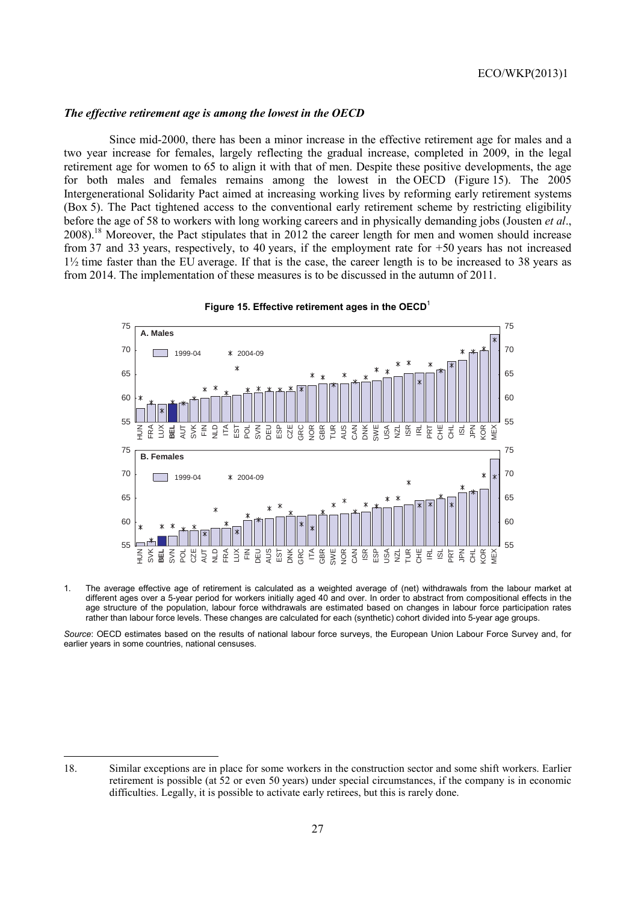#### *The effective retirement age is among the lowest in the OECD*

 Since mid-2000, there has been a minor increase in the effective retirement age for males and a two year increase for females, largely reflecting the gradual increase, completed in 2009, in the legal retirement age for women to 65 to align it with that of men. Despite these positive developments, the age for both males and females remains among the lowest in the OECD (Figure 15). The 2005 Intergenerational Solidarity Pact aimed at increasing working lives by reforming early retirement systems (Box 5). The Pact tightened access to the conventional early retirement scheme by restricting eligibility before the age of 58 to workers with long working careers and in physically demanding jobs (Jousten *et al*., 2008).18 Moreover, the Pact stipulates that in 2012 the career length for men and women should increase from 37 and 33 years, respectively, to 40 years, if the employment rate for +50 years has not increased 1½ time faster than the EU average. If that is the case, the career length is to be increased to 38 years as from 2014. The implementation of these measures is to be discussed in the autumn of 2011.



**Figure 15. Effective retirement ages in the OECD**<sup>1</sup>

1. The average effective age of retirement is calculated as a weighted average of (net) withdrawals from the labour market at different ages over a 5-year period for workers initially aged 40 and over. In order to abstract from compositional effects in the age structure of the population, labour force withdrawals are estimated based on changes in labour force participation rates rather than labour force levels. These changes are calculated for each (synthetic) cohort divided into 5-year age groups.

*Source*: OECD estimates based on the results of national labour force surveys, the European Union Labour Force Survey and, for earlier years in some countries, national censuses.

 $\overline{a}$ 

<sup>18.</sup> Similar exceptions are in place for some workers in the construction sector and some shift workers. Earlier retirement is possible (at 52 or even 50 years) under special circumstances, if the company is in economic difficulties. Legally, it is possible to activate early retirees, but this is rarely done.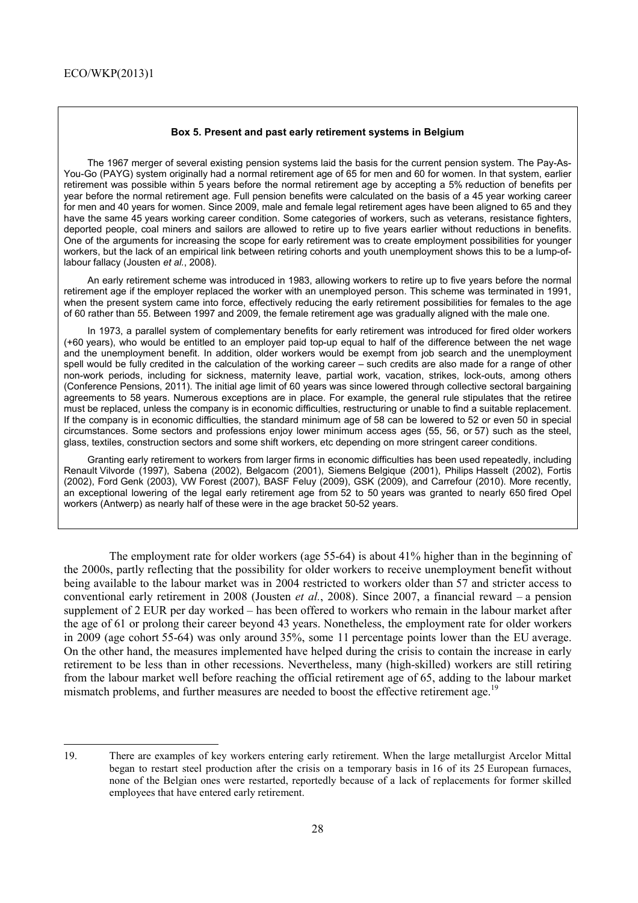#### **Box 5. Present and past early retirement systems in Belgium**

The 1967 merger of several existing pension systems laid the basis for the current pension system. The Pay-As-You-Go (PAYG) system originally had a normal retirement age of 65 for men and 60 for women. In that system, earlier retirement was possible within 5 years before the normal retirement age by accepting a 5% reduction of benefits per year before the normal retirement age. Full pension benefits were calculated on the basis of a 45 year working career for men and 40 years for women. Since 2009, male and female legal retirement ages have been aligned to 65 and they have the same 45 years working career condition. Some categories of workers, such as veterans, resistance fighters, deported people, coal miners and sailors are allowed to retire up to five years earlier without reductions in benefits. One of the arguments for increasing the scope for early retirement was to create employment possibilities for younger workers, but the lack of an empirical link between retiring cohorts and youth unemployment shows this to be a lump-oflabour fallacy (Jousten *et al.*, 2008).

An early retirement scheme was introduced in 1983, allowing workers to retire up to five years before the normal retirement age if the employer replaced the worker with an unemployed person. This scheme was terminated in 1991, when the present system came into force, effectively reducing the early retirement possibilities for females to the age of 60 rather than 55. Between 1997 and 2009, the female retirement age was gradually aligned with the male one.

In 1973, a parallel system of complementary benefits for early retirement was introduced for fired older workers (+60 years), who would be entitled to an employer paid top-up equal to half of the difference between the net wage and the unemployment benefit. In addition, older workers would be exempt from job search and the unemployment spell would be fully credited in the calculation of the working career – such credits are also made for a range of other non-work periods, including for sickness, maternity leave, partial work, vacation, strikes, lock-outs, among others (Conference Pensions, 2011). The initial age limit of 60 years was since lowered through collective sectoral bargaining agreements to 58 years. Numerous exceptions are in place. For example, the general rule stipulates that the retiree must be replaced, unless the company is in economic difficulties, restructuring or unable to find a suitable replacement. If the company is in economic difficulties, the standard minimum age of 58 can be lowered to 52 or even 50 in special circumstances. Some sectors and professions enjoy lower minimum access ages (55, 56, or 57) such as the steel, glass, textiles, construction sectors and some shift workers, etc depending on more stringent career conditions.

Granting early retirement to workers from larger firms in economic difficulties has been used repeatedly, including Renault Vilvorde (1997), Sabena (2002), Belgacom (2001), Siemens Belgique (2001), Philips Hasselt (2002), Fortis (2002), Ford Genk (2003), VW Forest (2007), BASF Feluy (2009), GSK (2009), and Carrefour (2010). More recently, an exceptional lowering of the legal early retirement age from 52 to 50 years was granted to nearly 650 fired Opel workers (Antwerp) as nearly half of these were in the age bracket 50-52 years.

 The employment rate for older workers (age 55-64) is about 41% higher than in the beginning of the 2000s, partly reflecting that the possibility for older workers to receive unemployment benefit without being available to the labour market was in 2004 restricted to workers older than 57 and stricter access to conventional early retirement in 2008 (Jousten *et al.*, 2008). Since 2007, a financial reward – a pension supplement of 2 EUR per day worked – has been offered to workers who remain in the labour market after the age of 61 or prolong their career beyond 43 years. Nonetheless, the employment rate for older workers in 2009 (age cohort 55-64) was only around 35%, some 11 percentage points lower than the EU average. On the other hand, the measures implemented have helped during the crisis to contain the increase in early retirement to be less than in other recessions. Nevertheless, many (high-skilled) workers are still retiring from the labour market well before reaching the official retirement age of 65, adding to the labour market mismatch problems, and further measures are needed to boost the effective retirement age.<sup>19</sup>

<sup>19.</sup> There are examples of key workers entering early retirement. When the large metallurgist Arcelor Mittal began to restart steel production after the crisis on a temporary basis in 16 of its 25 European furnaces, none of the Belgian ones were restarted, reportedly because of a lack of replacements for former skilled employees that have entered early retirement.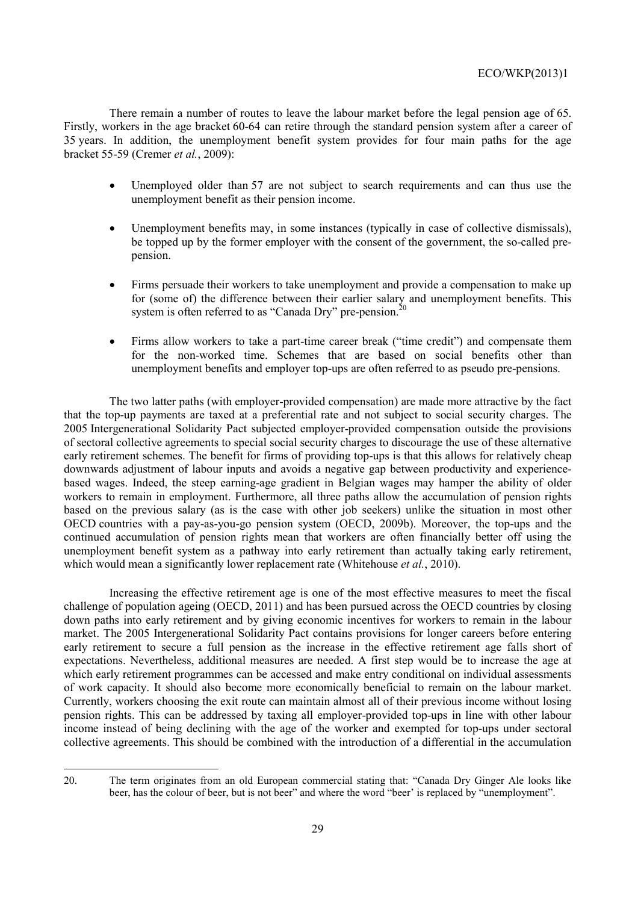There remain a number of routes to leave the labour market before the legal pension age of 65. Firstly, workers in the age bracket 60-64 can retire through the standard pension system after a career of 35 years. In addition, the unemployment benefit system provides for four main paths for the age bracket 55-59 (Cremer *et al.*, 2009):

- Unemployed older than 57 are not subject to search requirements and can thus use the unemployment benefit as their pension income.
- Unemployment benefits may, in some instances (typically in case of collective dismissals), be topped up by the former employer with the consent of the government, the so-called prepension.
- Firms persuade their workers to take unemployment and provide a compensation to make up for (some of) the difference between their earlier salary and unemployment benefits. This system is often referred to as "Canada Dry" pre-pension.<sup>2</sup>
- Firms allow workers to take a part-time career break ("time credit") and compensate them for the non-worked time. Schemes that are based on social benefits other than unemployment benefits and employer top-ups are often referred to as pseudo pre-pensions.

 The two latter paths (with employer-provided compensation) are made more attractive by the fact that the top-up payments are taxed at a preferential rate and not subject to social security charges. The 2005 Intergenerational Solidarity Pact subjected employer-provided compensation outside the provisions of sectoral collective agreements to special social security charges to discourage the use of these alternative early retirement schemes. The benefit for firms of providing top-ups is that this allows for relatively cheap downwards adjustment of labour inputs and avoids a negative gap between productivity and experiencebased wages. Indeed, the steep earning-age gradient in Belgian wages may hamper the ability of older workers to remain in employment. Furthermore, all three paths allow the accumulation of pension rights based on the previous salary (as is the case with other job seekers) unlike the situation in most other OECD countries with a pay-as-you-go pension system (OECD, 2009b). Moreover, the top-ups and the continued accumulation of pension rights mean that workers are often financially better off using the unemployment benefit system as a pathway into early retirement than actually taking early retirement, which would mean a significantly lower replacement rate (Whitehouse *et al.*, 2010).

 Increasing the effective retirement age is one of the most effective measures to meet the fiscal challenge of population ageing (OECD, 2011) and has been pursued across the OECD countries by closing down paths into early retirement and by giving economic incentives for workers to remain in the labour market. The 2005 Intergenerational Solidarity Pact contains provisions for longer careers before entering early retirement to secure a full pension as the increase in the effective retirement age falls short of expectations. Nevertheless, additional measures are needed. A first step would be to increase the age at which early retirement programmes can be accessed and make entry conditional on individual assessments of work capacity. It should also become more economically beneficial to remain on the labour market. Currently, workers choosing the exit route can maintain almost all of their previous income without losing pension rights. This can be addressed by taxing all employer-provided top-ups in line with other labour income instead of being declining with the age of the worker and exempted for top-ups under sectoral collective agreements. This should be combined with the introduction of a differential in the accumulation

<sup>20.</sup> The term originates from an old European commercial stating that: "Canada Dry Ginger Ale looks like beer, has the colour of beer, but is not beer" and where the word "beer' is replaced by "unemployment".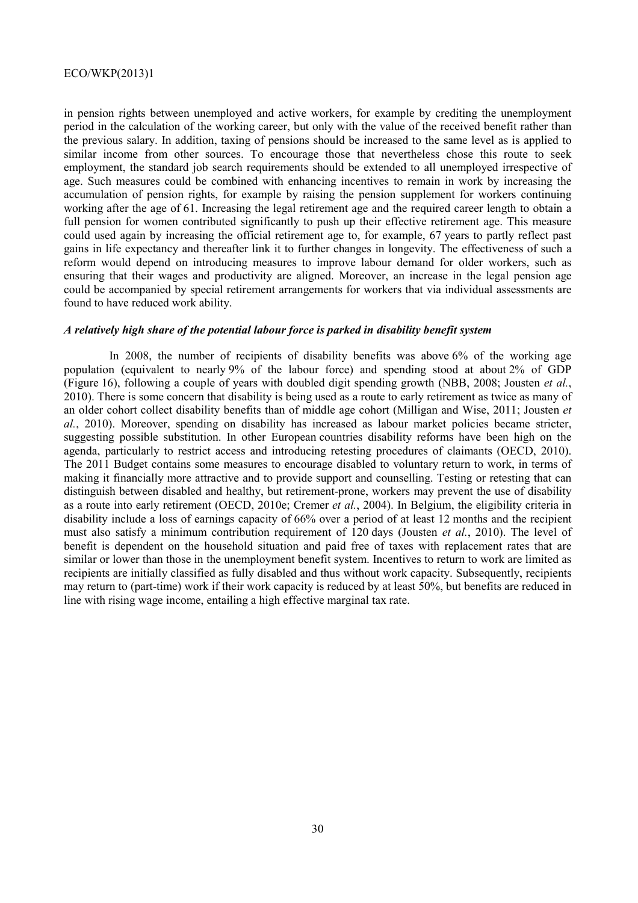in pension rights between unemployed and active workers, for example by crediting the unemployment period in the calculation of the working career, but only with the value of the received benefit rather than the previous salary. In addition, taxing of pensions should be increased to the same level as is applied to similar income from other sources. To encourage those that nevertheless chose this route to seek employment, the standard job search requirements should be extended to all unemployed irrespective of age. Such measures could be combined with enhancing incentives to remain in work by increasing the accumulation of pension rights, for example by raising the pension supplement for workers continuing working after the age of 61. Increasing the legal retirement age and the required career length to obtain a full pension for women contributed significantly to push up their effective retirement age. This measure could used again by increasing the official retirement age to, for example, 67 years to partly reflect past gains in life expectancy and thereafter link it to further changes in longevity. The effectiveness of such a reform would depend on introducing measures to improve labour demand for older workers, such as ensuring that their wages and productivity are aligned. Moreover, an increase in the legal pension age could be accompanied by special retirement arrangements for workers that via individual assessments are found to have reduced work ability.

### *A relatively high share of the potential labour force is parked in disability benefit system*

 In 2008, the number of recipients of disability benefits was above 6% of the working age population (equivalent to nearly 9% of the labour force) and spending stood at about 2% of GDP (Figure 16), following a couple of years with doubled digit spending growth (NBB, 2008; Jousten *et al.*, 2010). There is some concern that disability is being used as a route to early retirement as twice as many of an older cohort collect disability benefits than of middle age cohort (Milligan and Wise, 2011; Jousten *et al.*, 2010). Moreover, spending on disability has increased as labour market policies became stricter, suggesting possible substitution. In other European countries disability reforms have been high on the agenda, particularly to restrict access and introducing retesting procedures of claimants (OECD, 2010). The 2011 Budget contains some measures to encourage disabled to voluntary return to work, in terms of making it financially more attractive and to provide support and counselling. Testing or retesting that can distinguish between disabled and healthy, but retirement-prone, workers may prevent the use of disability as a route into early retirement (OECD, 2010e; Cremer *et al.*, 2004). In Belgium, the eligibility criteria in disability include a loss of earnings capacity of 66% over a period of at least 12 months and the recipient must also satisfy a minimum contribution requirement of 120 days (Jousten *et al.*, 2010). The level of benefit is dependent on the household situation and paid free of taxes with replacement rates that are similar or lower than those in the unemployment benefit system. Incentives to return to work are limited as recipients are initially classified as fully disabled and thus without work capacity. Subsequently, recipients may return to (part-time) work if their work capacity is reduced by at least 50%, but benefits are reduced in line with rising wage income, entailing a high effective marginal tax rate.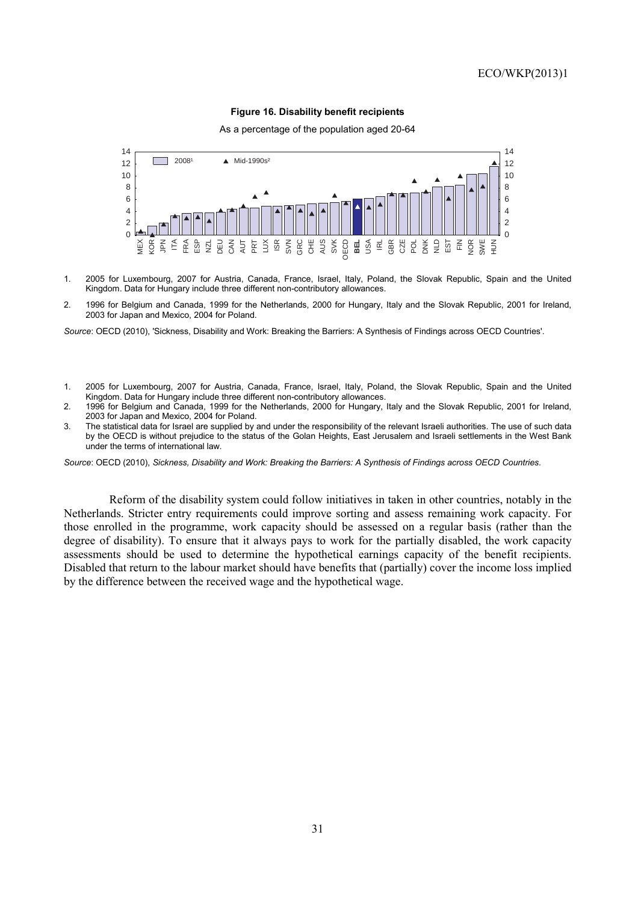### **Figure 16. Disability benefit recipients**

As a percentage of the population aged 20-64



- 1. 2005 for Luxembourg, 2007 for Austria, Canada, France, Israel, Italy, Poland, the Slovak Republic, Spain and the United Kingdom. Data for Hungary include three different non-contributory allowances.
- 2. 1996 for Belgium and Canada, 1999 for the Netherlands, 2000 for Hungary, Italy and the Slovak Republic, 2001 for Ireland, 2003 for Japan and Mexico, 2004 for Poland.

*Source*: OECD (2010), 'Sickness, Disability and Work: Breaking the Barriers: A Synthesis of Findings across OECD Countries'.

- 1. 2005 for Luxembourg, 2007 for Austria, Canada, France, Israel, Italy, Poland, the Slovak Republic, Spain and the United Kingdom. Data for Hungary include three different non-contributory allowances.
- 2. 1996 for Belgium and Canada, 1999 for the Netherlands, 2000 for Hungary, Italy and the Slovak Republic, 2001 for Ireland, 2003 for Japan and Mexico, 2004 for Poland.
- 3. The statistical data for Israel are supplied by and under the responsibility of the relevant Israeli authorities. The use of such data by the OECD is without prejudice to the status of the Golan Heights, East Jerusalem and Israeli settlements in the West Bank under the terms of international law.

*Source*: OECD (2010), *Sickness, Disability and Work: Breaking the Barriers: A Synthesis of Findings across OECD Countries.* 

 Reform of the disability system could follow initiatives in taken in other countries, notably in the Netherlands. Stricter entry requirements could improve sorting and assess remaining work capacity. For those enrolled in the programme, work capacity should be assessed on a regular basis (rather than the degree of disability). To ensure that it always pays to work for the partially disabled, the work capacity assessments should be used to determine the hypothetical earnings capacity of the benefit recipients. Disabled that return to the labour market should have benefits that (partially) cover the income loss implied by the difference between the received wage and the hypothetical wage.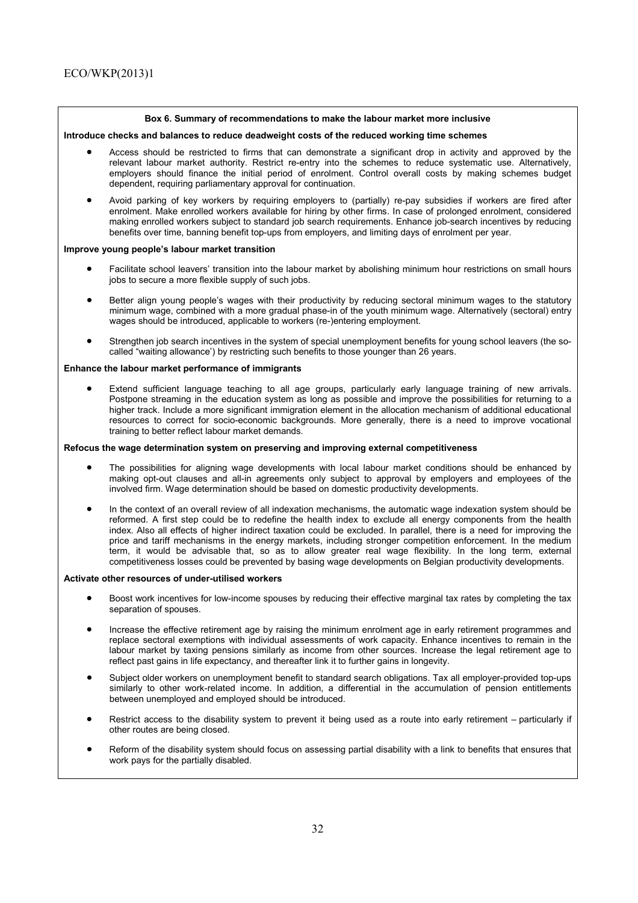#### **Box 6. Summary of recommendations to make the labour market more inclusive**

#### **Introduce checks and balances to reduce deadweight costs of the reduced working time schemes**

- Access should be restricted to firms that can demonstrate a significant drop in activity and approved by the relevant labour market authority. Restrict re-entry into the schemes to reduce systematic use. Alternatively, employers should finance the initial period of enrolment. Control overall costs by making schemes budget dependent, requiring parliamentary approval for continuation.
- Avoid parking of key workers by requiring employers to (partially) re-pay subsidies if workers are fired after enrolment. Make enrolled workers available for hiring by other firms. In case of prolonged enrolment, considered making enrolled workers subject to standard job search requirements. Enhance job-search incentives by reducing benefits over time, banning benefit top-ups from employers, and limiting days of enrolment per year.

#### **Improve young people's labour market transition**

- Facilitate school leavers' transition into the labour market by abolishing minimum hour restrictions on small hours jobs to secure a more flexible supply of such jobs.
- Better align young people's wages with their productivity by reducing sectoral minimum wages to the statutory minimum wage, combined with a more gradual phase-in of the youth minimum wage. Alternatively (sectoral) entry wages should be introduced, applicable to workers (re-)entering employment.
- Strengthen job search incentives in the system of special unemployment benefits for young school leavers (the socalled "waiting allowance') by restricting such benefits to those younger than 26 years.

#### **Enhance the labour market performance of immigrants**

• Extend sufficient language teaching to all age groups, particularly early language training of new arrivals. Postpone streaming in the education system as long as possible and improve the possibilities for returning to a higher track. Include a more significant immigration element in the allocation mechanism of additional educational resources to correct for socio-economic backgrounds. More generally, there is a need to improve vocational training to better reflect labour market demands.

#### **Refocus the wage determination system on preserving and improving external competitiveness**

- The possibilities for aligning wage developments with local labour market conditions should be enhanced by making opt-out clauses and all-in agreements only subject to approval by employers and employees of the involved firm. Wage determination should be based on domestic productivity developments.
- In the context of an overall review of all indexation mechanisms, the automatic wage indexation system should be reformed. A first step could be to redefine the health index to exclude all energy components from the health index. Also all effects of higher indirect taxation could be excluded. In parallel, there is a need for improving the price and tariff mechanisms in the energy markets, including stronger competition enforcement. In the medium term, it would be advisable that, so as to allow greater real wage flexibility. In the long term, external competitiveness losses could be prevented by basing wage developments on Belgian productivity developments.

#### **Activate other resources of under-utilised workers**

- Boost work incentives for low-income spouses by reducing their effective marginal tax rates by completing the tax separation of spouses.
- Increase the effective retirement age by raising the minimum enrolment age in early retirement programmes and replace sectoral exemptions with individual assessments of work capacity. Enhance incentives to remain in the labour market by taxing pensions similarly as income from other sources. Increase the legal retirement age to reflect past gains in life expectancy, and thereafter link it to further gains in longevity.
- Subject older workers on unemployment benefit to standard search obligations. Tax all employer-provided top-ups similarly to other work-related income. In addition, a differential in the accumulation of pension entitlements between unemployed and employed should be introduced.
- Restrict access to the disability system to prevent it being used as a route into early retirement particularly if other routes are being closed.
- Reform of the disability system should focus on assessing partial disability with a link to benefits that ensures that work pays for the partially disabled.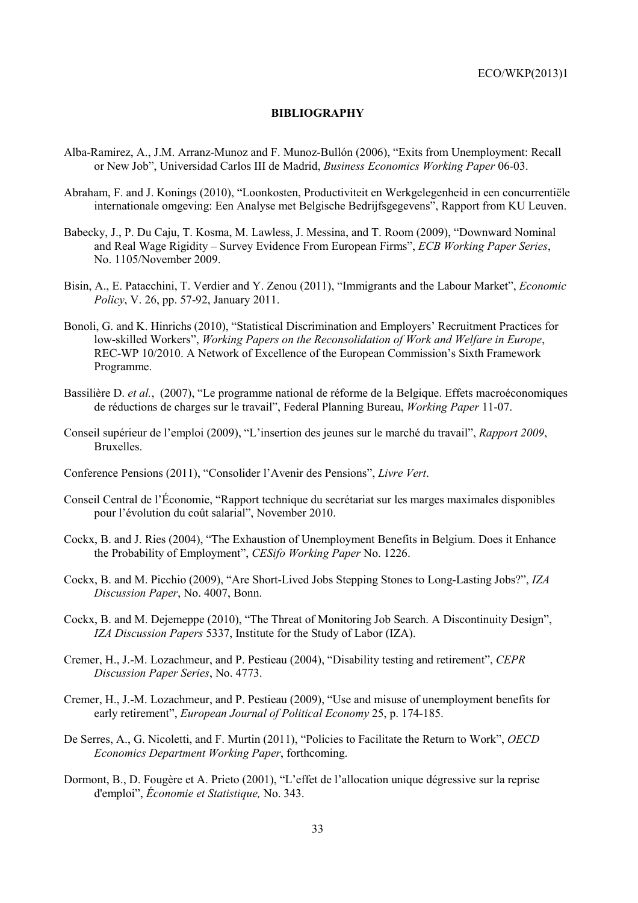### **BIBLIOGRAPHY**

- Alba-Ramirez, A., J.M. Arranz-Munoz and F. Munoz-Bullón (2006), "Exits from Unemployment: Recall or New Job", Universidad Carlos III de Madrid, *Business Economics Working Paper* 06-03.
- Abraham, F. and J. Konings (2010), "Loonkosten, Productiviteit en Werkgelegenheid in een concurrentiële internationale omgeving: Een Analyse met Belgische Bedrijfsgegevens", Rapport from KU Leuven.
- Babecky, J., P. Du Caju, T. Kosma, M. Lawless, J. Messina, and T. Room (2009), "Downward Nominal and Real Wage Rigidity – Survey Evidence From European Firms", *ECB Working Paper Series*, No. 1105/November 2009.
- Bisin, A., E. Patacchini, T. Verdier and Y. Zenou (2011), "Immigrants and the Labour Market", *Economic Policy*, V. 26, pp. 57-92, January 2011.
- Bonoli, G. and K. Hinrichs (2010), "Statistical Discrimination and Employers' Recruitment Practices for low-skilled Workers", *Working Papers on the Reconsolidation of Work and Welfare in Europe*, REC-WP 10/2010. A Network of Excellence of the European Commission's Sixth Framework Programme.
- Bassilière D. *et al.*, (2007), "Le programme national de réforme de la Belgique. Effets macroéconomiques de réductions de charges sur le travail", Federal Planning Bureau, *Working Paper* 11-07.
- Conseil supérieur de l'emploi (2009), "L'insertion des jeunes sur le marché du travail", *Rapport 2009*, Bruxelles.
- Conference Pensions (2011), "Consolider l'Avenir des Pensions", *Livre Vert*.
- Conseil Central de l'Économie, "Rapport technique du secrétariat sur les marges maximales disponibles pour l'évolution du coût salarial", November 2010.
- Cockx, B. and J. Ries (2004), "The Exhaustion of Unemployment Benefits in Belgium. Does it Enhance the Probability of Employment", *CESifo Working Paper* No. 1226.
- Cockx, B. and M. Picchio (2009), "Are Short-Lived Jobs Stepping Stones to Long-Lasting Jobs?", *IZA Discussion Paper*, No. 4007, Bonn.
- Cockx, B. and M. Dejemeppe (2010), "The Threat of Monitoring Job Search. A Discontinuity Design", *IZA Discussion Papers* 5337, Institute for the Study of Labor (IZA).
- Cremer, H., J.-M. Lozachmeur, and P. Pestieau (2004), "Disability testing and retirement", *CEPR Discussion Paper Series*, No. 4773.
- Cremer, H., J.-M. Lozachmeur, and P. Pestieau (2009), "Use and misuse of unemployment benefits for early retirement", *European Journal of Political Economy* 25, p. 174-185.
- De Serres, A., G. Nicoletti, and F. Murtin (2011), "Policies to Facilitate the Return to Work", *OECD Economics Department Working Paper*, forthcoming.
- Dormont, B., D. Fougère et A. Prieto (2001), "L'effet de l'allocation unique dégressive sur la reprise d'emploi", *Économie et Statistique,* No. 343.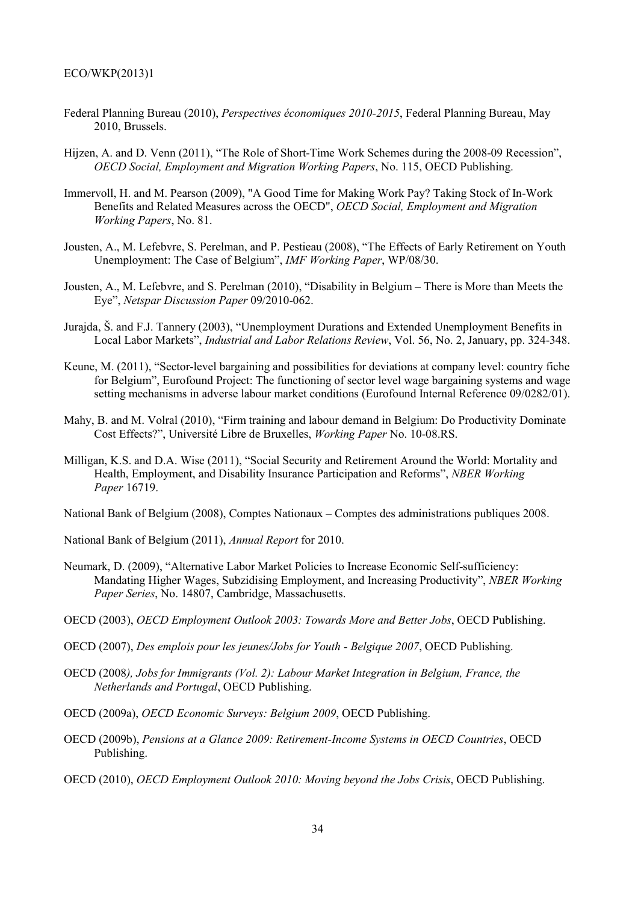- Federal Planning Bureau (2010), *Perspectives économiques 2010-2015*, Federal Planning Bureau, May 2010, Brussels.
- Hijzen, A. and D. Venn (2011), "The Role of Short-Time Work Schemes during the 2008-09 Recession", *OECD Social, Employment and Migration Working Papers*, No. 115, OECD Publishing.
- Immervoll, H. and M. Pearson (2009), "A Good Time for Making Work Pay? Taking Stock of In-Work Benefits and Related Measures across the OECD", *OECD Social, Employment and Migration Working Papers*, No. 81.
- Jousten, A., M. Lefebvre, S. Perelman, and P. Pestieau (2008), "The Effects of Early Retirement on Youth Unemployment: The Case of Belgium", *IMF Working Paper*, WP/08/30.
- Jousten, A., M. Lefebvre, and S. Perelman (2010), "Disability in Belgium There is More than Meets the Eye", *Netspar Discussion Paper* 09/2010-062.
- Jurajda, Š. and F.J. Tannery (2003), "Unemployment Durations and Extended Unemployment Benefits in Local Labor Markets", *Industrial and Labor Relations Review*, Vol. 56, No. 2, January, pp. 324-348.
- Keune, M. (2011), "Sector-level bargaining and possibilities for deviations at company level: country fiche for Belgium", Eurofound Project: The functioning of sector level wage bargaining systems and wage setting mechanisms in adverse labour market conditions (Eurofound Internal Reference 09/0282/01).
- Mahy, B. and M. Volral (2010), "Firm training and labour demand in Belgium: Do Productivity Dominate Cost Effects?", Université Libre de Bruxelles, *Working Paper* No. 10-08.RS.
- Milligan, K.S. and D.A. Wise (2011), "Social Security and Retirement Around the World: Mortality and Health, Employment, and Disability Insurance Participation and Reforms", *NBER Working Paper* 16719.

National Bank of Belgium (2008), Comptes Nationaux – Comptes des administrations publiques 2008.

National Bank of Belgium (2011), *Annual Report* for 2010.

- Neumark, D. (2009), "Alternative Labor Market Policies to Increase Economic Self-sufficiency: Mandating Higher Wages, Subzidising Employment, and Increasing Productivity", *NBER Working Paper Series*, No. 14807, Cambridge, Massachusetts.
- OECD (2003), *OECD Employment Outlook 2003: Towards More and Better Jobs*, OECD Publishing.
- OECD (2007), *Des emplois pour les jeunes/Jobs for Youth Belgique 2007*, OECD Publishing.
- OECD (2008*), Jobs for Immigrants (Vol. 2): Labour Market Integration in Belgium, France, the Netherlands and Portugal*, OECD Publishing.
- OECD (2009a), *OECD Economic Surveys: Belgium 2009*, OECD Publishing.
- OECD (2009b), *Pensions at a Glance 2009: Retirement-Income Systems in OECD Countries*, OECD Publishing.
- OECD (2010), *OECD Employment Outlook 2010: Moving beyond the Jobs Crisis*, OECD Publishing.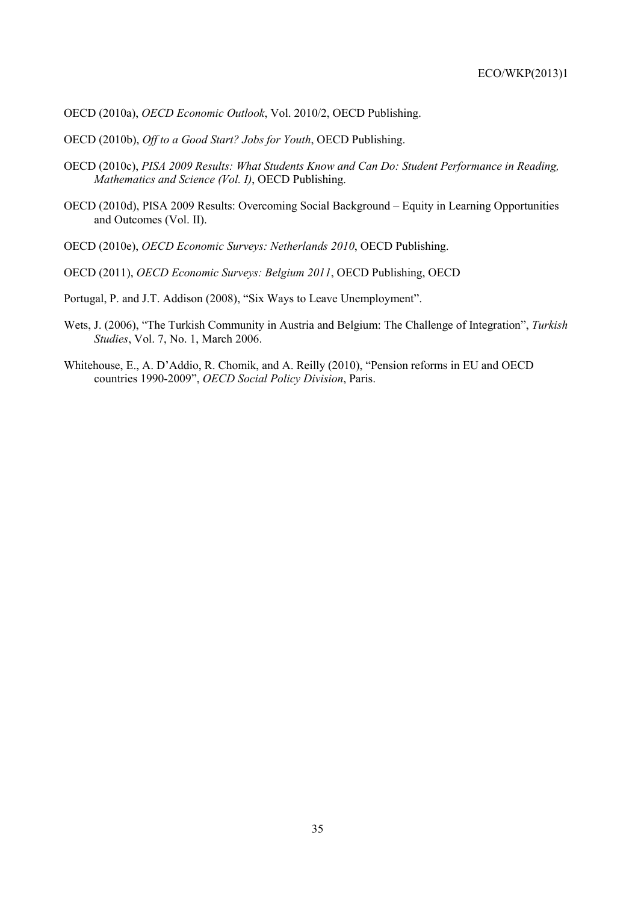OECD (2010a), *OECD Economic Outlook*, Vol. 2010/2, OECD Publishing.

- OECD (2010b), *Off to a Good Start? Jobs for Youth*, OECD Publishing.
- OECD (2010c), *PISA 2009 Results: What Students Know and Can Do: Student Performance in Reading, Mathematics and Science (Vol. I)*, OECD Publishing.
- OECD (2010d), PISA 2009 Results: Overcoming Social Background Equity in Learning Opportunities and Outcomes (Vol. II).
- OECD (2010e), *OECD Economic Surveys: Netherlands 2010*, OECD Publishing.
- OECD (2011), *OECD Economic Surveys: Belgium 2011*, OECD Publishing, OECD
- Portugal, P. and J.T. Addison (2008), "Six Ways to Leave Unemployment".
- Wets, J. (2006), "The Turkish Community in Austria and Belgium: The Challenge of Integration", *Turkish Studies*, Vol. 7, No. 1, March 2006.
- Whitehouse, E., A. D'Addio, R. Chomik, and A. Reilly (2010), "Pension reforms in EU and OECD countries 1990-2009", *OECD Social Policy Division*, Paris.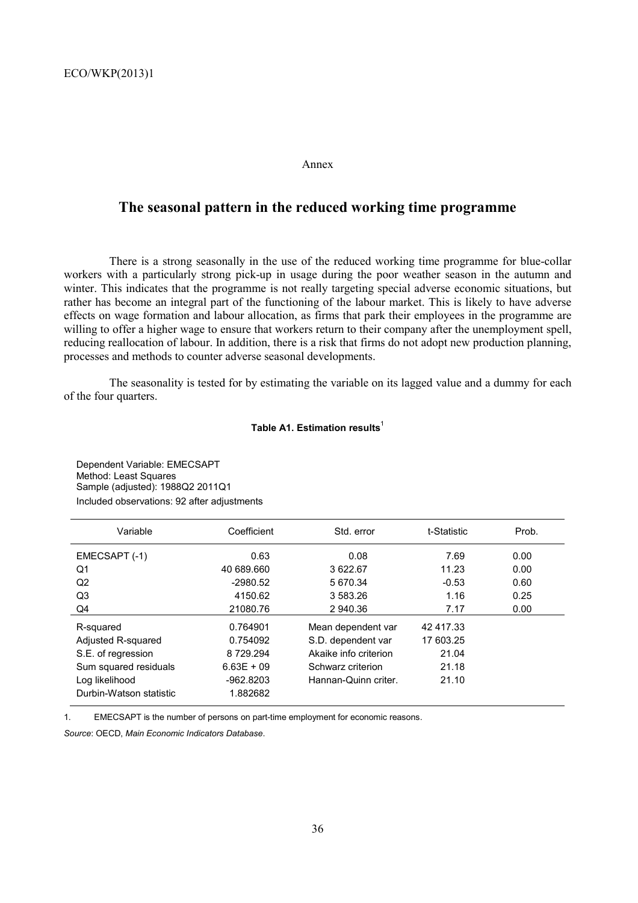#### Annex

# **The seasonal pattern in the reduced working time programme**

 There is a strong seasonally in the use of the reduced working time programme for blue-collar workers with a particularly strong pick-up in usage during the poor weather season in the autumn and winter. This indicates that the programme is not really targeting special adverse economic situations, but rather has become an integral part of the functioning of the labour market. This is likely to have adverse effects on wage formation and labour allocation, as firms that park their employees in the programme are willing to offer a higher wage to ensure that workers return to their company after the unemployment spell, reducing reallocation of labour. In addition, there is a risk that firms do not adopt new production planning, processes and methods to counter adverse seasonal developments.

 The seasonality is tested for by estimating the variable on its lagged value and a dummy for each of the four quarters.

#### Table A1. Estimation results<sup>1</sup>

Dependent Variable: EMECSAPT Method: Least Squares Sample (adjusted): 1988Q2 2011Q1 Included observations: 92 after adjustments

| Variable                | Coefficient  | Std. error            | t-Statistic | Prob. |
|-------------------------|--------------|-----------------------|-------------|-------|
| EMECSAPT (-1)           | 0.63         | 0.08                  | 7.69        | 0.00  |
| Q1                      | 40 689.660   | 3 622.67              | 11.23       | 0.00  |
| Q2                      | $-2980.52$   | 5 670.34              | $-0.53$     | 0.60  |
| Q3                      | 4150.62      | 3 583.26              | 1.16        | 0.25  |
| Q4                      | 21080.76     | 2 940.36              | 7.17        | 0.00  |
| R-squared               | 0.764901     | Mean dependent var    | 42 417.33   |       |
| Adjusted R-squared      | 0.754092     | S.D. dependent var    | 17 603.25   |       |
| S.E. of regression      | 8729.294     | Akaike info criterion | 21.04       |       |
| Sum squared residuals   | $6.63E + 09$ | Schwarz criterion     | 21.18       |       |
| Log likelihood          | $-962.8203$  | Hannan-Quinn criter.  | 21.10       |       |
| Durbin-Watson statistic | 1.882682     |                       |             |       |

1. EMECSAPT is the number of persons on part-time employment for economic reasons.

*Source*: OECD, *Main Economic Indicators Database*.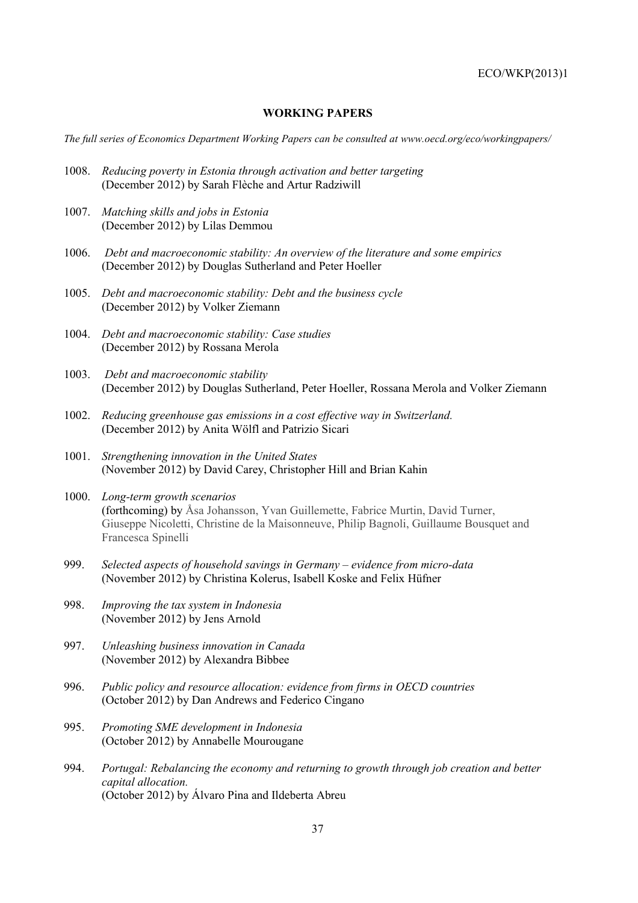### **WORKING PAPERS**

*The full series of Economics Department Working Papers can be consulted at www.oecd.org/eco/workingpapers/* 

- 1008. *Reducing poverty in Estonia through activation and better targeting* (December 2012) by Sarah Flèche and Artur Radziwill
- 1007. *Matching skills and jobs in Estonia* (December 2012) by Lilas Demmou
- 1006. *Debt and macroeconomic stability: An overview of the literature and some empirics*  (December 2012) by Douglas Sutherland and Peter Hoeller
- 1005. *Debt and macroeconomic stability: Debt and the business cycle*  (December 2012) by Volker Ziemann
- 1004. *Debt and macroeconomic stability: Case studies* (December 2012) by Rossana Merola
- 1003. *Debt and macroeconomic stability*  (December 2012) by Douglas Sutherland, Peter Hoeller, Rossana Merola and Volker Ziemann
- 1002. *Reducing greenhouse gas emissions in a cost effective way in Switzerland.*  (December 2012) by Anita Wölfl and Patrizio Sicari
- 1001. *Strengthening innovation in the United States* (November 2012) by David Carey, Christopher Hill and Brian Kahin
- 1000. *Long-term growth scenarios* (forthcoming) by Åsa Johansson, Yvan Guillemette, Fabrice Murtin, David Turner, Giuseppe Nicoletti, Christine de la Maisonneuve, Philip Bagnoli, Guillaume Bousquet and Francesca Spinelli
- 999. *Selected aspects of household savings in Germany evidence from micro-data* (November 2012) by Christina Kolerus, Isabell Koske and Felix Hüfner
- 998. *Improving the tax system in Indonesia*  (November 2012) by Jens Arnold
- 997. *Unleashing business innovation in Canada*  (November 2012) by Alexandra Bibbee
- 996. *Public policy and resource allocation: evidence from firms in OECD countries*  (October 2012) by Dan Andrews and Federico Cingano
- 995. *Promoting SME development in Indonesia* (October 2012) by Annabelle Mourougane
- 994. *Portugal: Rebalancing the economy and returning to growth through job creation and better capital allocation.* (October 2012) by Álvaro Pina and Ildeberta Abreu